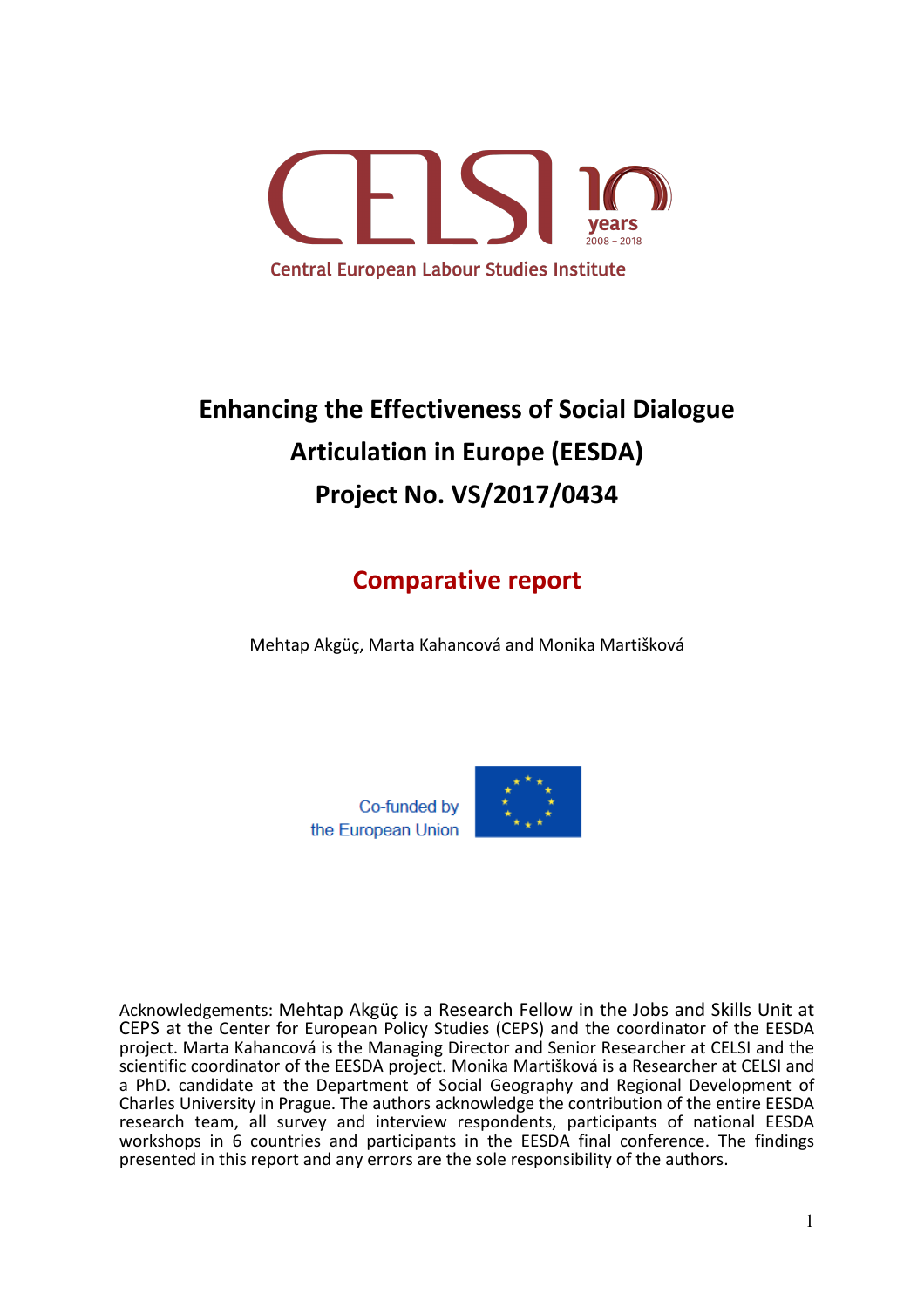

# **Enhancing the Effectiveness of Social Dialogue Articulation in Europe (EESDA) Project No. VS/2017/0434**

## **Comparative report**

Mehtap Akgüç, Marta Kahancová and Monika Martišková



Acknowledgements: Mehtap Akgüç is a Research Fellow in the Jobs and Skills Unit at CEPS at the Center for European Policy Studies (CEPS) and the coordinator of the EESDA project. Marta Kahancová is the Managing Director and Senior Researcher at CELSI and the scientific coordinator of the EESDA project. Monika Martišková is a Researcher at CELSI and a PhD. candidate at the Department of Social Geography and Regional Development of Charles University in Prague. The authors acknowledge the contribution of the entire EESDA research team, all survey and interview respondents, participants of national EESDA workshops in 6 countries and participants in the EESDA final conference. The findings presented in this report and any errors are the sole responsibility of the authors.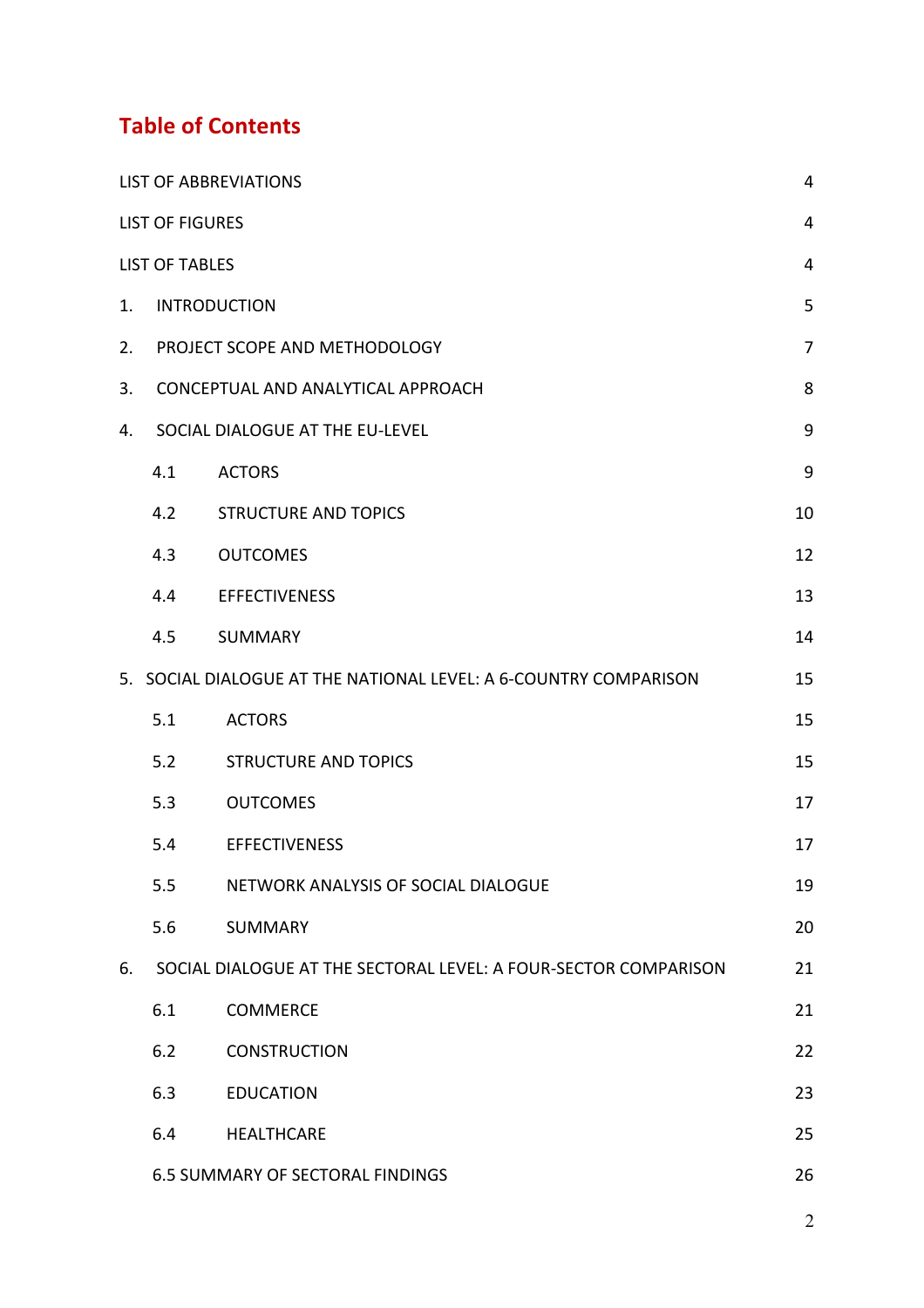## **Table of Contents**

|    | <b>LIST OF ABBREVIATIONS</b>                  |                                                                  |                  |  |  |
|----|-----------------------------------------------|------------------------------------------------------------------|------------------|--|--|
|    | <b>LIST OF FIGURES</b>                        |                                                                  | $\overline{4}$   |  |  |
|    | <b>LIST OF TABLES</b>                         |                                                                  | $\overline{4}$   |  |  |
| 1. |                                               | <b>INTRODUCTION</b>                                              | 5                |  |  |
| 2. |                                               | PROJECT SCOPE AND METHODOLOGY                                    | $\overline{7}$   |  |  |
| 3. |                                               | CONCEPTUAL AND ANALYTICAL APPROACH                               | 8                |  |  |
| 4. |                                               | SOCIAL DIALOGUE AT THE EU-LEVEL                                  | 9                |  |  |
|    | 4.1                                           | <b>ACTORS</b>                                                    | $\boldsymbol{9}$ |  |  |
|    | 4.2                                           | <b>STRUCTURE AND TOPICS</b>                                      | 10               |  |  |
|    | 4.3                                           | <b>OUTCOMES</b>                                                  | 12               |  |  |
|    | 4.4                                           | <b>EFFECTIVENESS</b>                                             | 13               |  |  |
|    | 4.5                                           | <b>SUMMARY</b>                                                   | 14               |  |  |
|    |                                               | 5. SOCIAL DIALOGUE AT THE NATIONAL LEVEL: A 6-COUNTRY COMPARISON | 15               |  |  |
|    | 5.1                                           | <b>ACTORS</b>                                                    | 15               |  |  |
|    | 5.2                                           | <b>STRUCTURE AND TOPICS</b>                                      | 15               |  |  |
|    | 5.3                                           | <b>OUTCOMES</b>                                                  | 17               |  |  |
|    | 5.4                                           | <b>EFFECTIVENESS</b>                                             | 17               |  |  |
|    | 5.5                                           | NETWORK ANALYSIS OF SOCIAL DIALOGUE                              | 19               |  |  |
|    | 5.6                                           | <b>SUMMARY</b>                                                   | 20               |  |  |
| 6. |                                               | SOCIAL DIALOGUE AT THE SECTORAL LEVEL: A FOUR-SECTOR COMPARISON  | 21               |  |  |
|    | 6.1                                           | <b>COMMERCE</b>                                                  | 21               |  |  |
|    | 6.2                                           | <b>CONSTRUCTION</b>                                              | 22               |  |  |
|    | 6.3                                           | <b>EDUCATION</b>                                                 | 23               |  |  |
|    | 6.4                                           | <b>HEALTHCARE</b>                                                | 25               |  |  |
|    | <b>6.5 SUMMARY OF SECTORAL FINDINGS</b><br>26 |                                                                  |                  |  |  |

2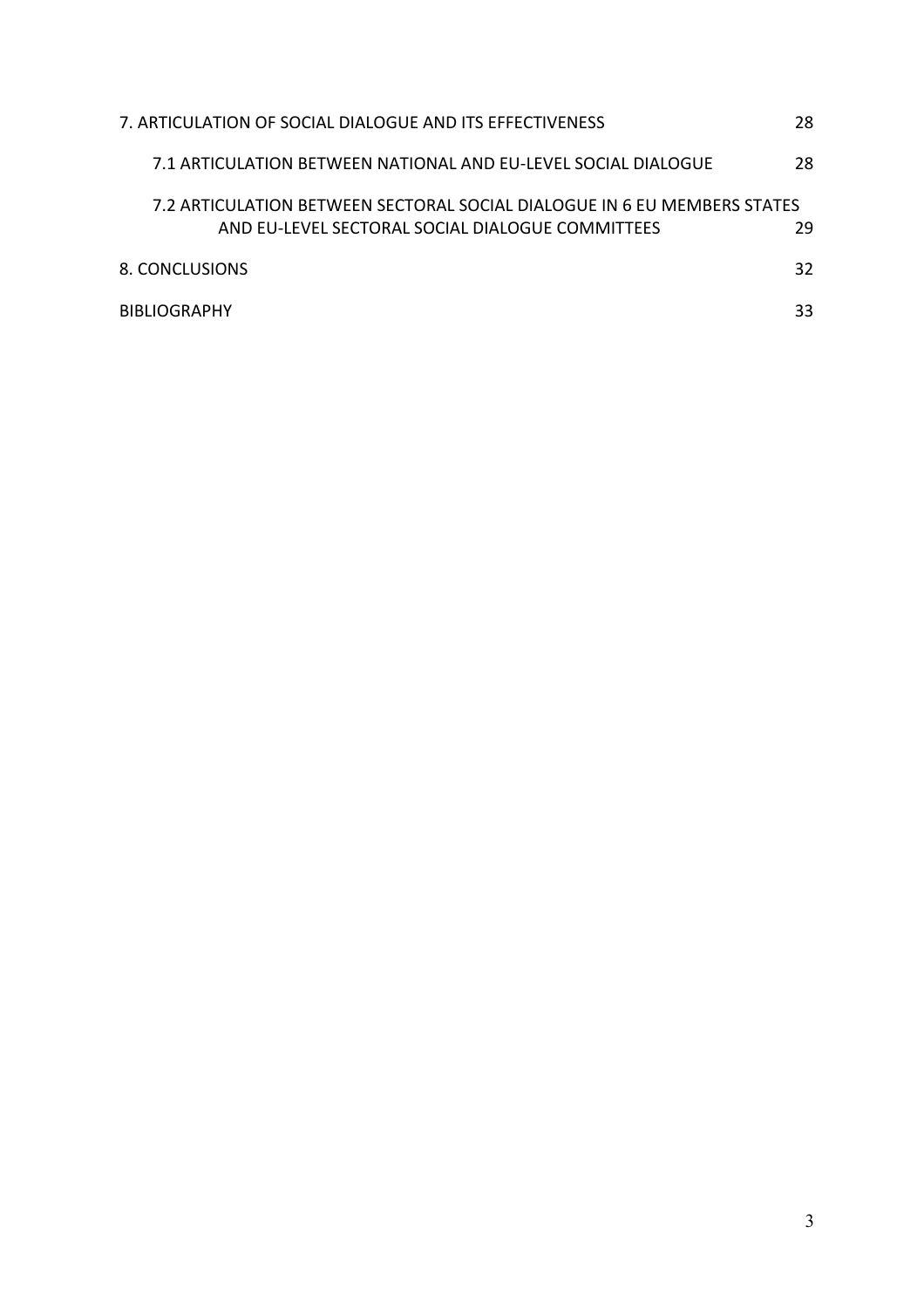| 7. ARTICULATION OF SOCIAL DIALOGUE AND ITS EFFECTIVENESS                                                                     | 28 |
|------------------------------------------------------------------------------------------------------------------------------|----|
| 7.1 ARTICULATION BETWEEN NATIONAL AND EU-LEVEL SOCIAL DIALOGUE                                                               | 28 |
| 7.2 ARTICULATION BETWEEN SECTORAL SOCIAL DIALOGUE IN 6 EU MEMBERS STATES<br>AND EU-LEVEL SECTORAL SOCIAL DIALOGUE COMMITTEES | 29 |
| 8. CONCLUSIONS                                                                                                               | 32 |
| <b>BIBLIOGRAPHY</b>                                                                                                          | 33 |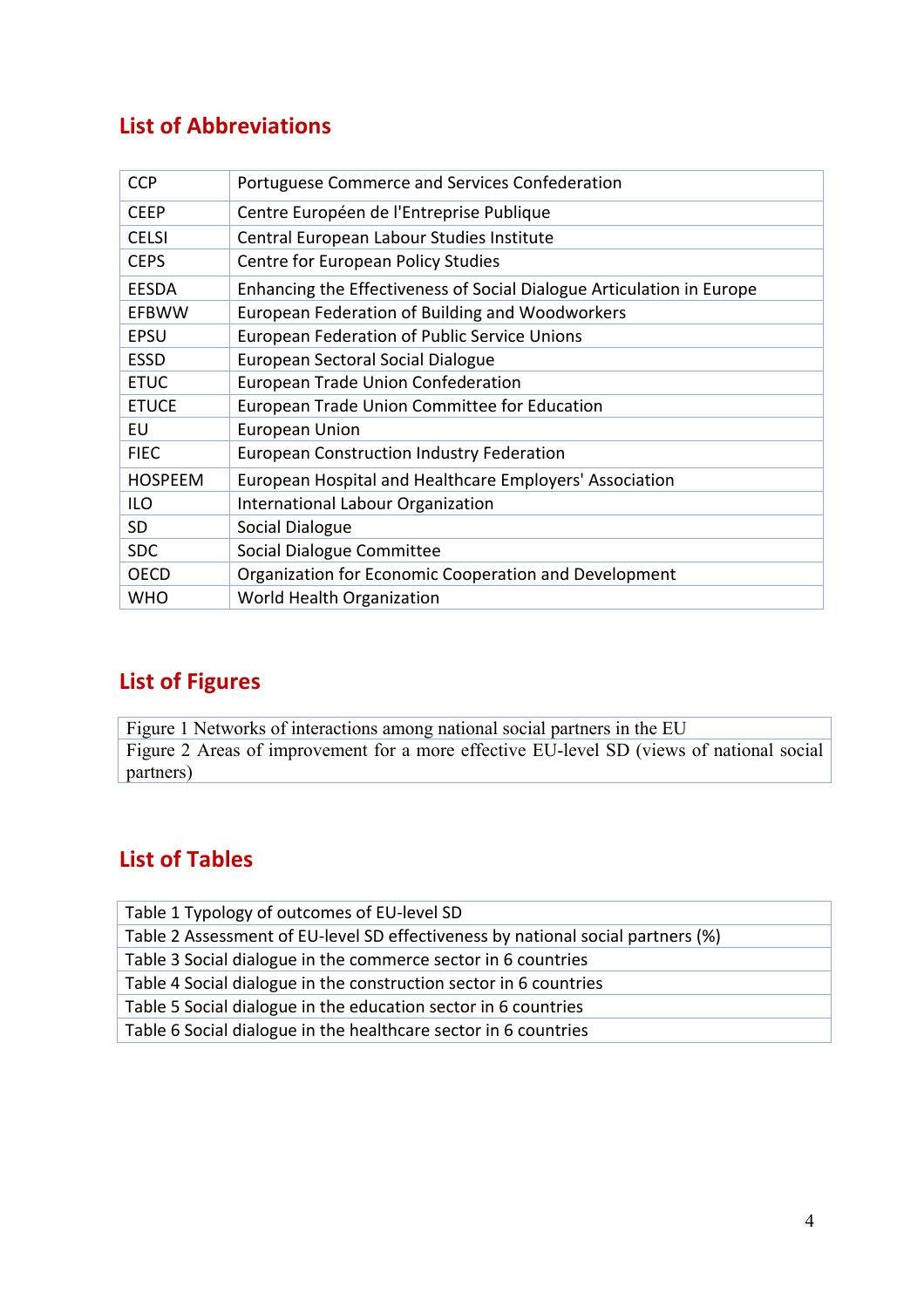### **List of Abbreviations**

| <b>CCP</b>     | Portuguese Commerce and Services Confederation                        |
|----------------|-----------------------------------------------------------------------|
| <b>CEEP</b>    | Centre Européen de l'Entreprise Publique                              |
| <b>CELSI</b>   | Central European Labour Studies Institute                             |
| <b>CEPS</b>    | <b>Centre for European Policy Studies</b>                             |
| <b>EESDA</b>   | Enhancing the Effectiveness of Social Dialogue Articulation in Europe |
| <b>EFBWW</b>   | European Federation of Building and Woodworkers                       |
| <b>EPSU</b>    | <b>European Federation of Public Service Unions</b>                   |
| <b>ESSD</b>    | <b>European Sectoral Social Dialogue</b>                              |
| <b>ETUC</b>    | <b>European Trade Union Confederation</b>                             |
| <b>ETUCE</b>   | European Trade Union Committee for Education                          |
| EU             | <b>European Union</b>                                                 |
| <b>FIEC</b>    | <b>European Construction Industry Federation</b>                      |
| <b>HOSPEEM</b> | European Hospital and Healthcare Employers' Association               |
| ILO            | International Labour Organization                                     |
| SD.            | Social Dialogue                                                       |
| <b>SDC</b>     | Social Dialogue Committee                                             |
| <b>OECD</b>    | Organization for Economic Cooperation and Development                 |
| WHO            | <b>World Health Organization</b>                                      |

#### **List of Figures**

Figure 1 Networks of interactions among national social partners in the EU Figure 2 Areas of improvement for a more effective EU-level SD (views of national social partners)

### **List of Tables**

Table 1 Typology of outcomes of EU-level SD Table 2 Assessment of EU-level SD effectiveness by national social partners (%) Table 3 Social dialogue in the commerce sector in 6 countries Table 4 Social dialogue in the construction sector in 6 countries Table 5 Social dialogue in the education sector in 6 countries Table 6 Social dialogue in the healthcare sector in 6 countries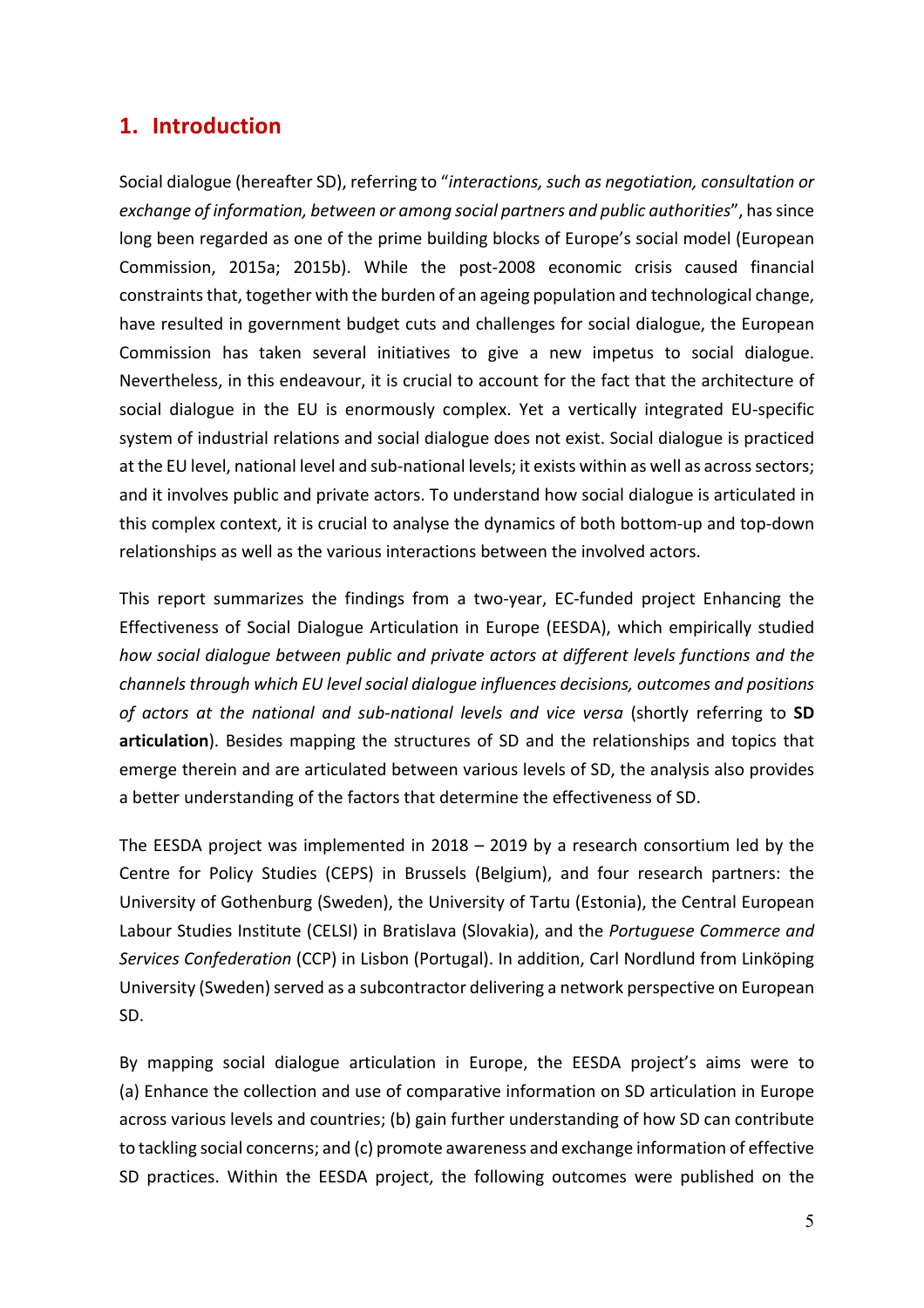#### **1. Introduction**

Social dialogue (hereafter SD), referring to "interactions, such as negotiation, consultation or *exchange of information, between or among social partners and public authorities*", has since long been regarded as one of the prime building blocks of Europe's social model (European Commission, 2015a; 2015b). While the post-2008 economic crisis caused financial constraints that, together with the burden of an ageing population and technological change, have resulted in government budget cuts and challenges for social dialogue, the European Commission has taken several initiatives to give a new impetus to social dialogue. Nevertheless, in this endeavour, it is crucial to account for the fact that the architecture of social dialogue in the EU is enormously complex. Yet a vertically integrated EU-specific system of industrial relations and social dialogue does not exist. Social dialogue is practiced at the EU level, national level and sub-national levels; it exists within as well as across sectors; and it involves public and private actors. To understand how social dialogue is articulated in this complex context, it is crucial to analyse the dynamics of both bottom-up and top-down relationships as well as the various interactions between the involved actors.

This report summarizes the findings from a two-year, EC-funded project Enhancing the Effectiveness of Social Dialogue Articulation in Europe (EESDA), which empirically studied how social dialogue between public and private actors at different levels functions and the *channels through which EU level social dialogue influences decisions, outcomes and positions* of actors at the national and sub-national levels and vice versa (shortly referring to **SD** articulation). Besides mapping the structures of SD and the relationships and topics that emerge therein and are articulated between various levels of SD, the analysis also provides a better understanding of the factors that determine the effectiveness of SD.

The EESDA project was implemented in  $2018 - 2019$  by a research consortium led by the Centre for Policy Studies (CEPS) in Brussels (Belgium), and four research partners: the University of Gothenburg (Sweden), the University of Tartu (Estonia), the Central European Labour Studies Institute (CELSI) in Bratislava (Slovakia), and the *Portuguese Commerce and* Services Confederation (CCP) in Lisbon (Portugal). In addition, Carl Nordlund from Linköping University (Sweden) served as a subcontractor delivering a network perspective on European SD.

By mapping social dialogue articulation in Europe, the EESDA project's aims were to (a) Enhance the collection and use of comparative information on SD articulation in Europe across various levels and countries; (b) gain further understanding of how SD can contribute to tackling social concerns; and (c) promote awareness and exchange information of effective SD practices. Within the EESDA project, the following outcomes were published on the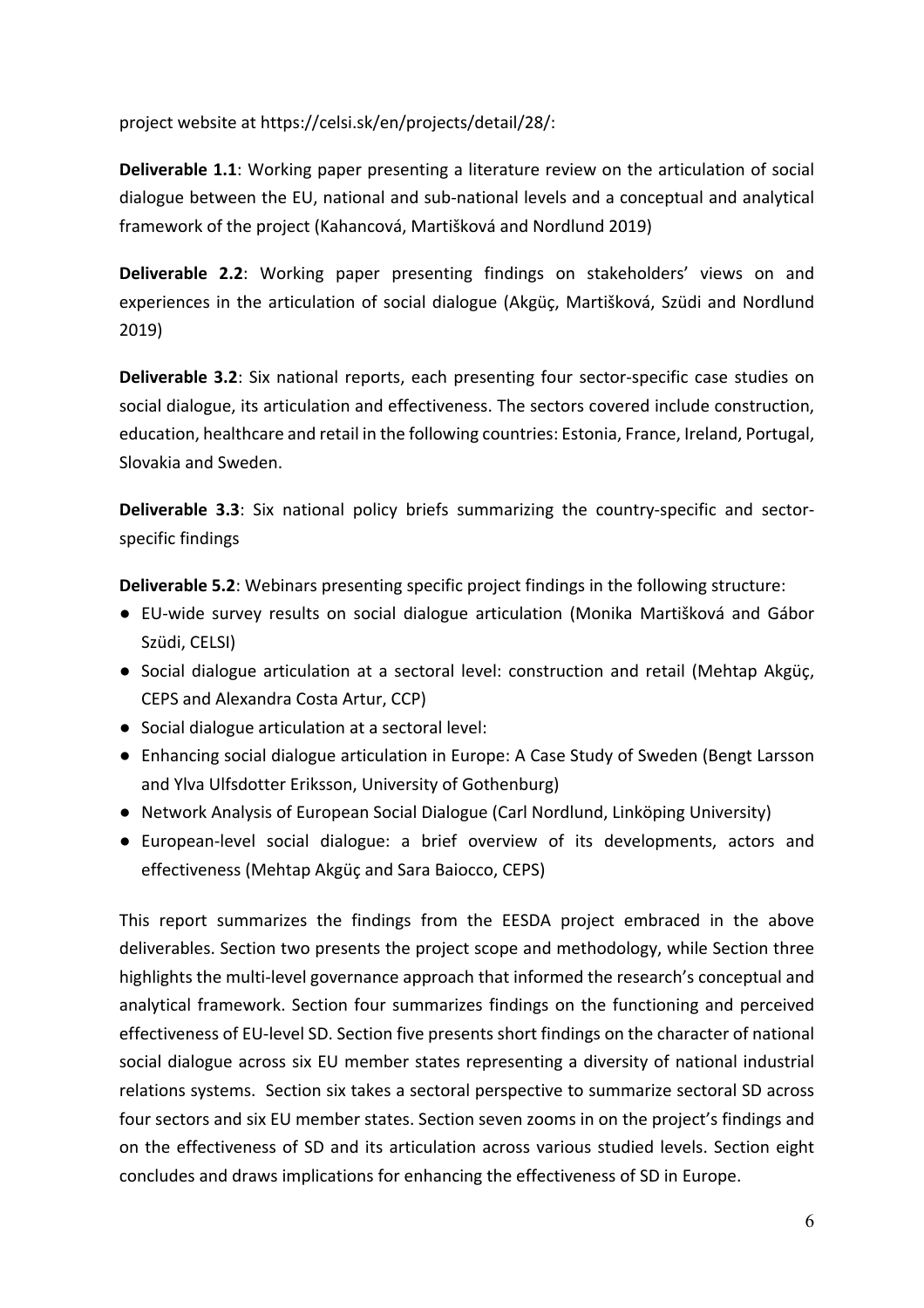project website at https://celsi.sk/en/projects/detail/28/:

**Deliverable 1.1**: Working paper presenting a literature review on the articulation of social dialogue between the EU, national and sub-national levels and a conceptual and analytical framework of the project (Kahancová, Martišková and Nordlund 2019)

**Deliverable 2.2:** Working paper presenting findings on stakeholders' views on and experiences in the articulation of social dialogue (Akgüç, Martišková, Szüdi and Nordlund 2019)

**Deliverable 3.2**: Six national reports, each presenting four sector-specific case studies on social dialogue, its articulation and effectiveness. The sectors covered include construction, education, healthcare and retail in the following countries: Estonia, France, Ireland, Portugal, Slovakia and Sweden.

**Deliverable 3.3**: Six national policy briefs summarizing the country-specific and sectorspecific findings

**Deliverable 5.2:** Webinars presenting specific project findings in the following structure:

- EU-wide survey results on social dialogue articulation (Monika Martišková and Gábor Szüdi, CELSI)
- Social dialogue articulation at a sectoral level: construction and retail (Mehtap Akgüç, CEPS and Alexandra Costa Artur, CCP)
- Social dialogue articulation at a sectoral level:
- Enhancing social dialogue articulation in Europe: A Case Study of Sweden (Bengt Larsson and Ylva Ulfsdotter Eriksson, University of Gothenburg)
- Network Analysis of European Social Dialogue (Carl Nordlund, Linköping University)
- European-level social dialogue: a brief overview of its developments, actors and effectiveness (Mehtap Akgüç and Sara Baiocco, CEPS)

This report summarizes the findings from the EESDA project embraced in the above deliverables. Section two presents the project scope and methodology, while Section three highlights the multi-level governance approach that informed the research's conceptual and analytical framework. Section four summarizes findings on the functioning and perceived effectiveness of EU-level SD. Section five presents short findings on the character of national social dialogue across six EU member states representing a diversity of national industrial relations systems. Section six takes a sectoral perspective to summarize sectoral SD across four sectors and six EU member states. Section seven zooms in on the project's findings and on the effectiveness of SD and its articulation across various studied levels. Section eight concludes and draws implications for enhancing the effectiveness of SD in Europe.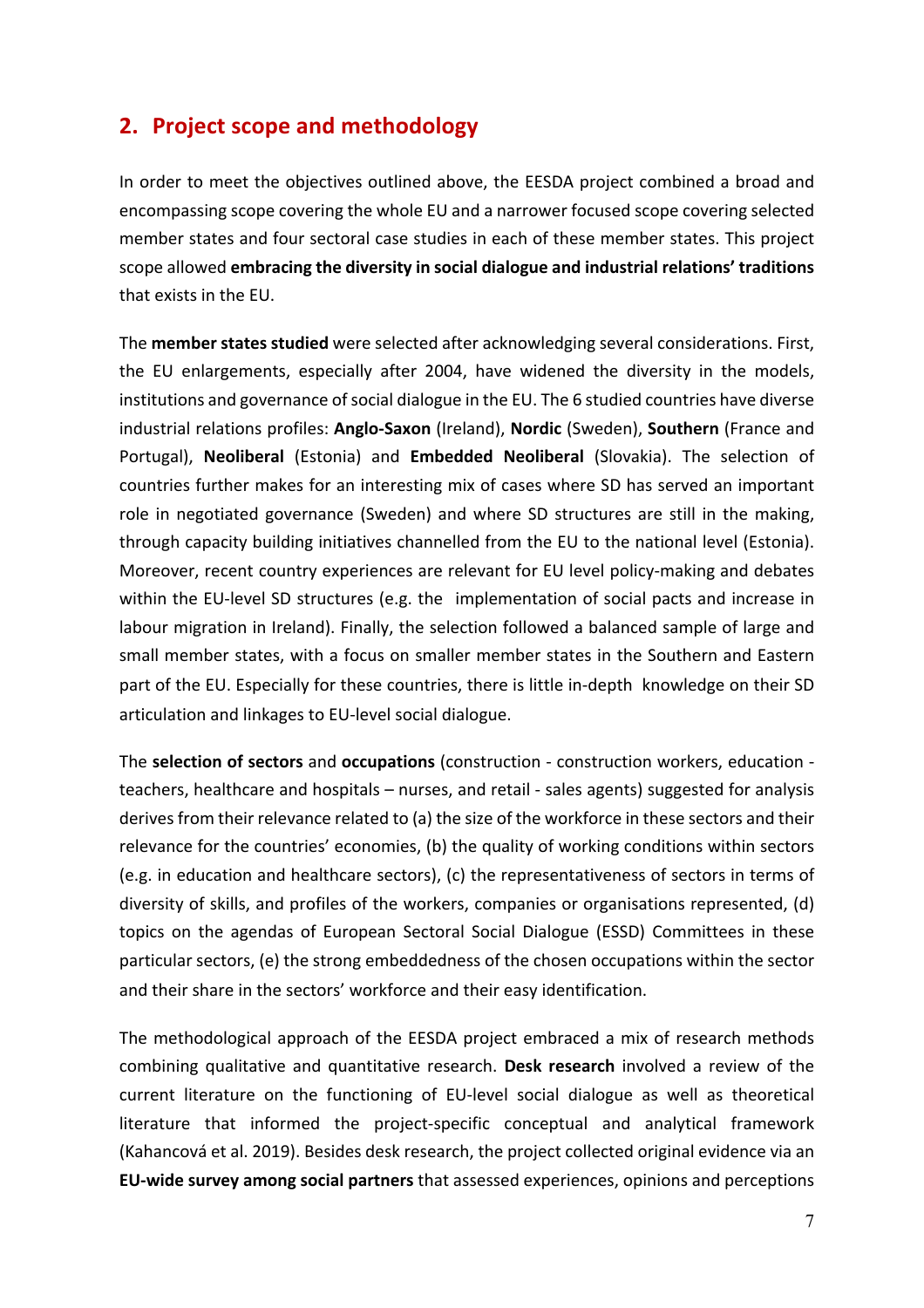#### **2.** Project scope and methodology

In order to meet the objectives outlined above, the EESDA project combined a broad and encompassing scope covering the whole EU and a narrower focused scope covering selected member states and four sectoral case studies in each of these member states. This project scope allowed **embracing the diversity in social dialogue and industrial relations' traditions** that exists in the EU.

The **member states studied** were selected after acknowledging several considerations. First, the EU enlargements, especially after 2004, have widened the diversity in the models, institutions and governance of social dialogue in the EU. The 6 studied countries have diverse industrial relations profiles: Anglo-Saxon (Ireland), Nordic (Sweden), Southern (France and Portugal), **Neoliberal** (Estonia) and **Embedded Neoliberal** (Slovakia). The selection of countries further makes for an interesting mix of cases where SD has served an important role in negotiated governance (Sweden) and where SD structures are still in the making, through capacity building initiatives channelled from the EU to the national level (Estonia). Moreover, recent country experiences are relevant for EU level policy-making and debates within the EU-level SD structures (e.g. the implementation of social pacts and increase in labour migration in Ireland). Finally, the selection followed a balanced sample of large and small member states, with a focus on smaller member states in the Southern and Eastern part of the EU. Especially for these countries, there is little in-depth knowledge on their SD articulation and linkages to EU-level social dialogue.

The **selection of sectors** and **occupations** (construction - construction workers, education teachers, healthcare and hospitals – nurses, and retail - sales agents) suggested for analysis derives from their relevance related to (a) the size of the workforce in these sectors and their relevance for the countries' economies, (b) the quality of working conditions within sectors (e.g. in education and healthcare sectors), (c) the representativeness of sectors in terms of diversity of skills, and profiles of the workers, companies or organisations represented, (d) topics on the agendas of European Sectoral Social Dialogue (ESSD) Committees in these particular sectors, (e) the strong embeddedness of the chosen occupations within the sector and their share in the sectors' workforce and their easy identification.

The methodological approach of the EESDA project embraced a mix of research methods combining qualitative and quantitative research. Desk research involved a review of the current literature on the functioning of EU-level social dialogue as well as theoretical literature that informed the project-specific conceptual and analytical framework (Kahancová et al. 2019). Besides desk research, the project collected original evidence via an **EU-wide survey among social partners** that assessed experiences, opinions and perceptions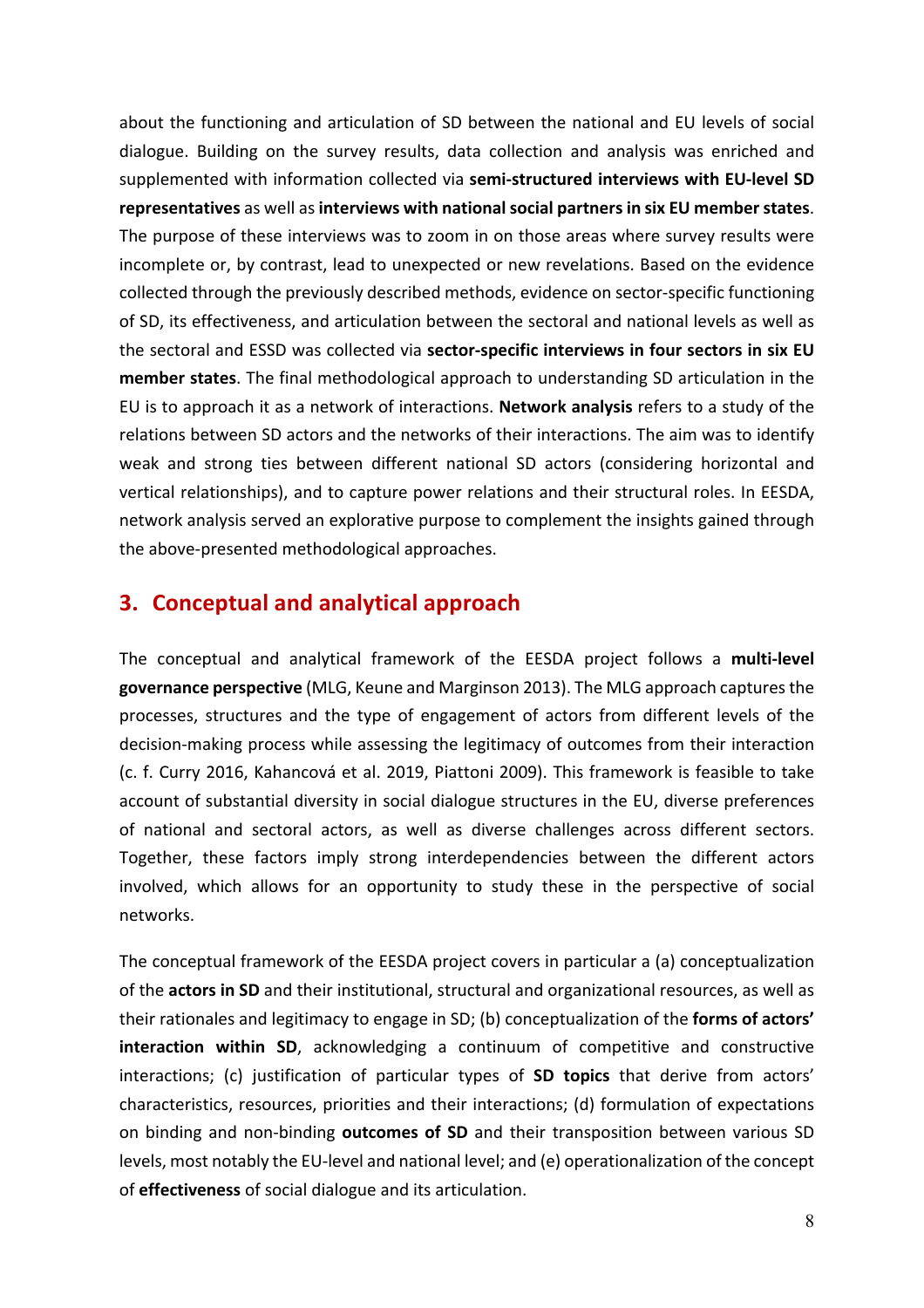about the functioning and articulation of SD between the national and EU levels of social dialogue. Building on the survey results, data collection and analysis was enriched and supplemented with information collected via semi-structured interviews with EU-level SD representatives as well as interviews with national social partners in six EU member states. The purpose of these interviews was to zoom in on those areas where survey results were incomplete or, by contrast, lead to unexpected or new revelations. Based on the evidence collected through the previously described methods, evidence on sector-specific functioning of SD, its effectiveness, and articulation between the sectoral and national levels as well as the sectoral and ESSD was collected via sector-specific interviews in four sectors in six EU **member states**. The final methodological approach to understanding SD articulation in the EU is to approach it as a network of interactions. **Network analysis** refers to a study of the relations between SD actors and the networks of their interactions. The aim was to identify weak and strong ties between different national SD actors (considering horizontal and vertical relationships), and to capture power relations and their structural roles. In EESDA, network analysis served an explorative purpose to complement the insights gained through the above-presented methodological approaches.

#### **3. Conceptual and analytical approach**

The conceptual and analytical framework of the EESDA project follows a multi-level governance perspective (MLG, Keune and Marginson 2013). The MLG approach captures the processes, structures and the type of engagement of actors from different levels of the decision-making process while assessing the legitimacy of outcomes from their interaction (c. f. Curry 2016, Kahancová et al. 2019, Piattoni 2009). This framework is feasible to take account of substantial diversity in social dialogue structures in the EU, diverse preferences of national and sectoral actors, as well as diverse challenges across different sectors. Together, these factors imply strong interdependencies between the different actors involved, which allows for an opportunity to study these in the perspective of social networks. 

The conceptual framework of the EESDA project covers in particular a (a) conceptualization of the **actors in SD** and their institutional, structural and organizational resources, as well as their rationales and legitimacy to engage in SD; (b) conceptualization of the **forms of actors' interaction within SD**, acknowledging a continuum of competitive and constructive interactions; (c) justification of particular types of **SD topics** that derive from actors' characteristics, resources, priorities and their interactions; (d) formulation of expectations on binding and non-binding **outcomes of SD** and their transposition between various SD levels, most notably the EU-level and national level; and (e) operationalization of the concept of **effectiveness** of social dialogue and its articulation.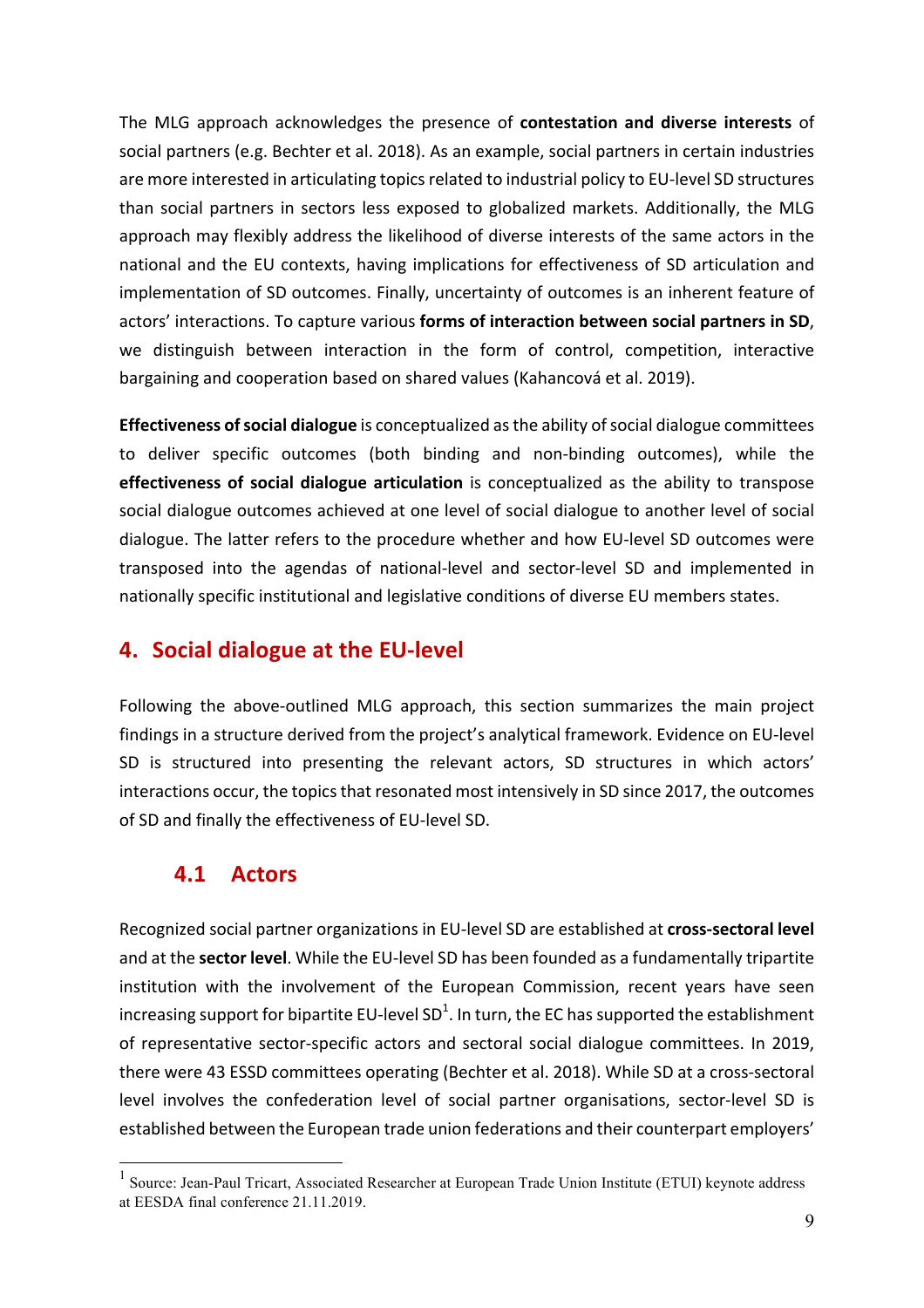The MLG approach acknowledges the presence of **contestation and diverse interests** of social partners (e.g. Bechter et al. 2018). As an example, social partners in certain industries are more interested in articulating topics related to industrial policy to EU-level SD structures than social partners in sectors less exposed to globalized markets. Additionally, the MLG approach may flexibly address the likelihood of diverse interests of the same actors in the national and the EU contexts, having implications for effectiveness of SD articulation and implementation of SD outcomes. Finally, uncertainty of outcomes is an inherent feature of actors' interactions. To capture various **forms of interaction between social partners in SD**, we distinguish between interaction in the form of control, competition, interactive bargaining and cooperation based on shared values (Kahancová et al. 2019).

**Effectiveness of social dialogue** is conceptualized as the ability of social dialogue committees to deliver specific outcomes (both binding and non-binding outcomes), while the **effectiveness of social dialogue articulation** is conceptualized as the ability to transpose social dialogue outcomes achieved at one level of social dialogue to another level of social dialogue. The latter refers to the procedure whether and how EU-level SD outcomes were transposed into the agendas of national-level and sector-level SD and implemented in nationally specific institutional and legislative conditions of diverse EU members states.

#### **4.** Social dialogue at the EU-level

Following the above-outlined MLG approach, this section summarizes the main project findings in a structure derived from the project's analytical framework. Evidence on EU-level SD is structured into presenting the relevant actors, SD structures in which actors' interactions occur, the topics that resonated most intensively in SD since 2017, the outcomes of SD and finally the effectiveness of EU-level SD.

#### **4.1 Actors**

Recognized social partner organizations in EU-level SD are established at *cross-sectoral level* and at the **sector level**. While the EU-level SD has been founded as a fundamentally tripartite institution with the involvement of the European Commission, recent years have seen increasing support for bipartite EU-level SD $^1$ . In turn, the EC has supported the establishment of representative sector-specific actors and sectoral social dialogue committees. In 2019, there were 43 ESSD committees operating (Bechter et al. 2018). While SD at a cross-sectoral level involves the confederation level of social partner organisations, sector-level SD is established between the European trade union federations and their counterpart employers'

<sup>&</sup>lt;sup>1</sup> Source: Jean-Paul Tricart, Associated Researcher at European Trade Union Institute (ETUI) keynote address at EESDA final conference 21.11.2019.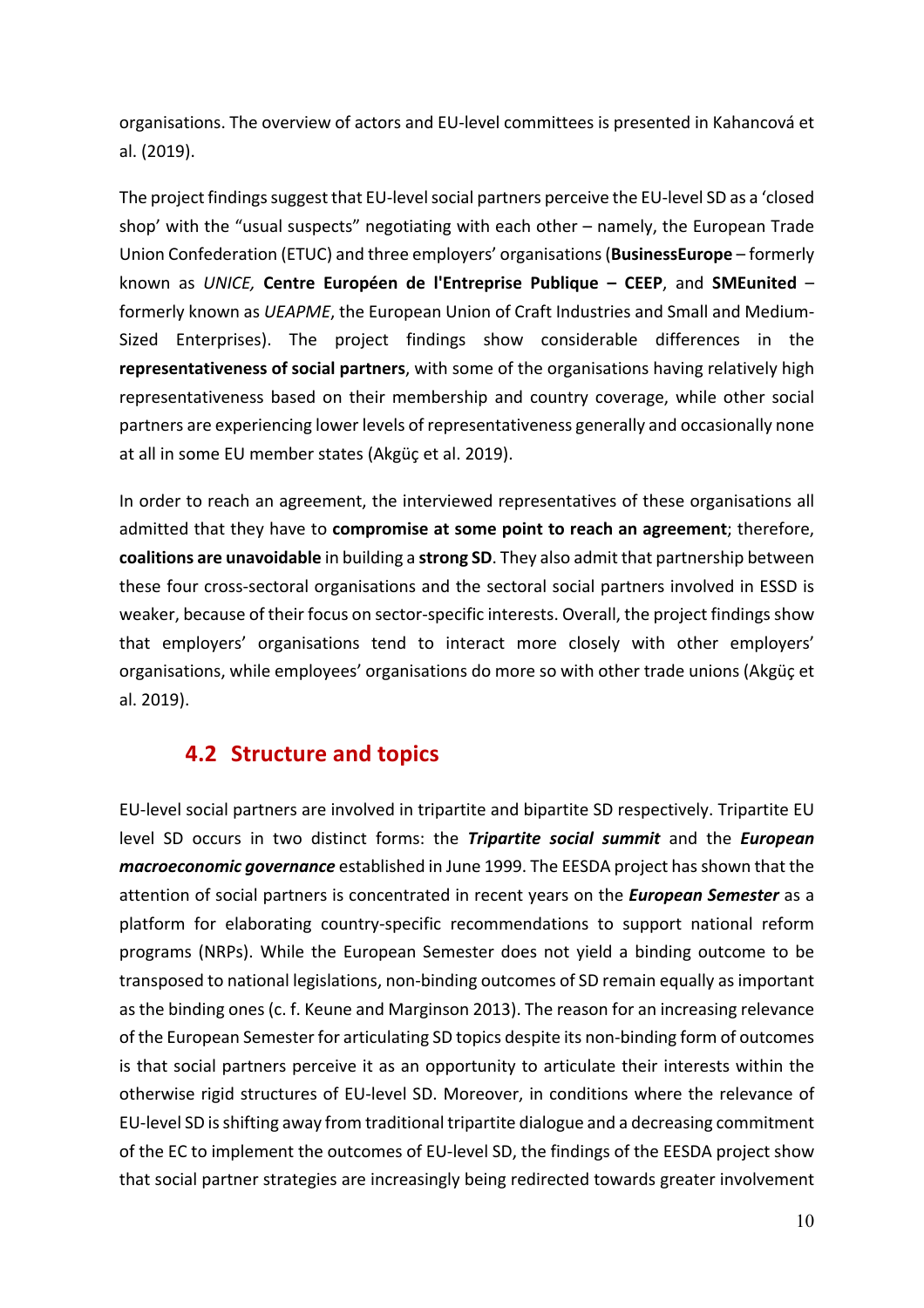organisations. The overview of actors and EU-level committees is presented in Kahancová et al. (2019).

The project findings suggest that EU-level social partners perceive the EU-level SD as a 'closed shop' with the "usual suspects" negotiating with each other  $-$  namely, the European Trade Union Confederation (ETUC) and three employers' organisations (**BusinessEurope** – formerly known as *UNICE,*  **Centre Européen de l'Entreprise Publique – CEEP**, and **SMEunited** – formerly known as *UEAPME*, the European Union of Craft Industries and Small and Medium-Sized Enterprises). The project findings show considerable differences in the **representativeness of social partners**, with some of the organisations having relatively high representativeness based on their membership and country coverage, while other social partners are experiencing lower levels of representativeness generally and occasionally none at all in some EU member states (Akgüç et al. 2019).

In order to reach an agreement, the interviewed representatives of these organisations all admitted that they have to **compromise at some point to reach an agreement**; therefore, **coalitions are unavoidable** in building a strong SD. They also admit that partnership between these four cross-sectoral organisations and the sectoral social partners involved in ESSD is weaker, because of their focus on sector-specific interests. Overall, the project findings show that employers' organisations tend to interact more closely with other employers' organisations, while employees' organisations do more so with other trade unions (Akgüç et al. 2019). 

#### **4.2 Structure and topics**

EU-level social partners are involved in tripartite and bipartite SD respectively. Tripartite EU level SD occurs in two distinct forms: the **Tripartite social summit** and the **European** *macroeconomic governance* established in June 1999. The EESDA project has shown that the attention of social partners is concentrated in recent years on the **European Semester** as a platform for elaborating country-specific recommendations to support national reform programs (NRPs). While the European Semester does not yield a binding outcome to be transposed to national legislations, non-binding outcomes of SD remain equally as important as the binding ones (c. f. Keune and Marginson 2013). The reason for an increasing relevance of the European Semester for articulating SD topics despite its non-binding form of outcomes is that social partners perceive it as an opportunity to articulate their interests within the otherwise rigid structures of EU-level SD. Moreover, in conditions where the relevance of EU-level SD is shifting away from traditional tripartite dialogue and a decreasing commitment of the EC to implement the outcomes of EU-level SD, the findings of the EESDA project show that social partner strategies are increasingly being redirected towards greater involvement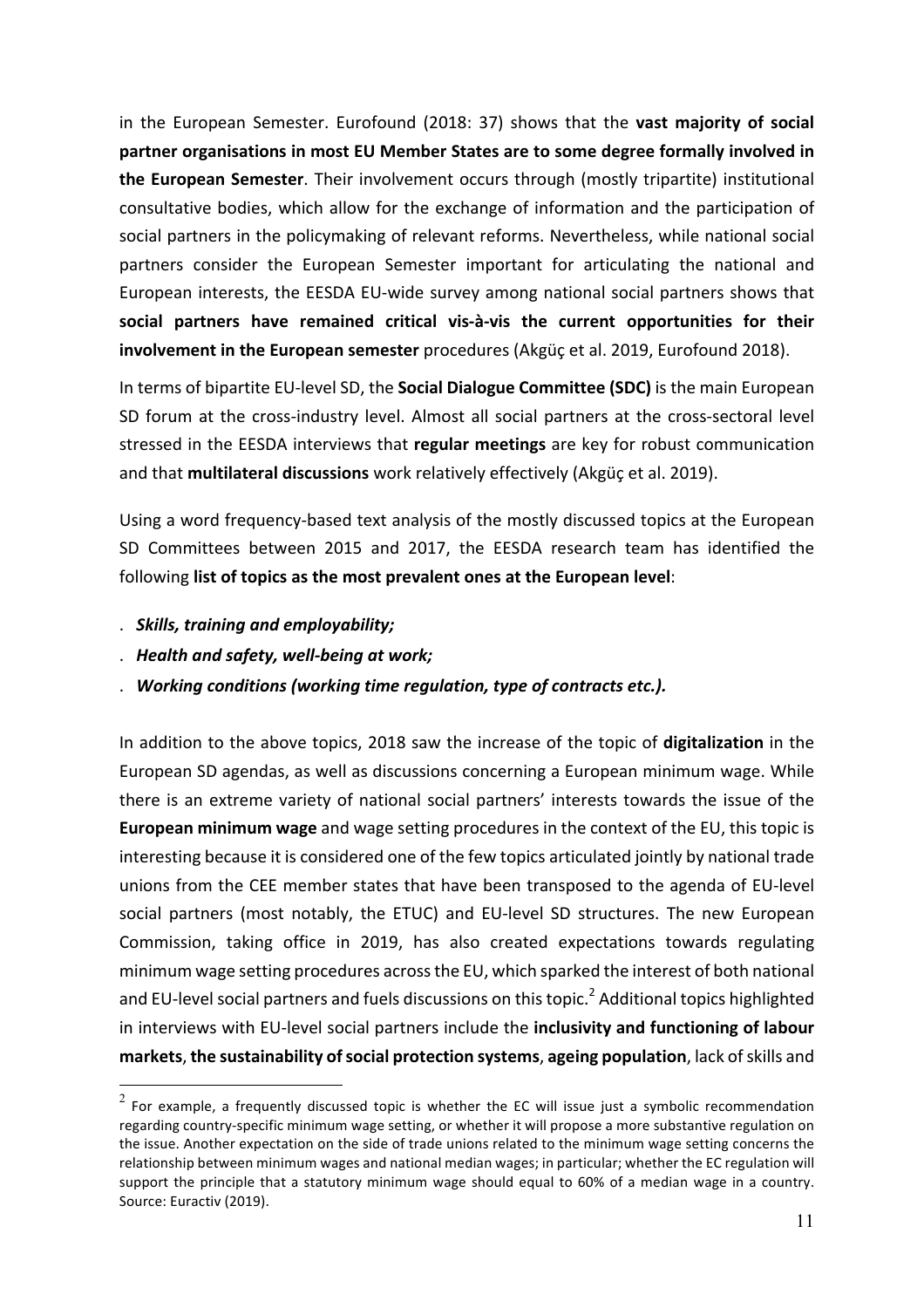in the European Semester. Eurofound (2018: 37) shows that the **vast majority of social** partner organisations in most EU Member States are to some degree formally involved in **the European Semester**. Their involvement occurs through (mostly tripartite) institutional consultative bodies, which allow for the exchange of information and the participation of social partners in the policymaking of relevant reforms. Nevertheless, while national social partners consider the European Semester important for articulating the national and European interests, the EESDA EU-wide survey among national social partners shows that social partners have remained critical vis-à-vis the current opportunities for their **involvement in the European semester** procedures (Akgüç et al. 2019, Eurofound 2018).

In terms of bipartite EU-level SD, the **Social Dialogue Committee (SDC)** is the main European SD forum at the cross-industry level. Almost all social partners at the cross-sectoral level stressed in the EESDA interviews that **regular meetings** are key for robust communication and that **multilateral discussions** work relatively effectively (Akgüç et al. 2019).

Using a word frequency-based text analysis of the mostly discussed topics at the European SD Committees between 2015 and 2017, the EESDA research team has identified the following list of topics as the most prevalent ones at the European level:

- . *Skills, training and employability;*
- . *Health and safety, well-being at work;*
- . Working conditions (working time regulation, type of contracts etc.).

In addition to the above topics, 2018 saw the increase of the topic of digitalization in the European SD agendas, as well as discussions concerning a European minimum wage. While there is an extreme variety of national social partners' interests towards the issue of the **European minimum wage** and wage setting procedures in the context of the EU, this topic is interesting because it is considered one of the few topics articulated jointly by national trade unions from the CEE member states that have been transposed to the agenda of EU-level social partners (most notably, the ETUC) and EU-level SD structures. The new European Commission, taking office in 2019, has also created expectations towards regulating minimum wage setting procedures across the EU, which sparked the interest of both national and EU-level social partners and fuels discussions on this topic.<sup>2</sup> Additional topics highlighted in interviews with EU-level social partners include the **inclusivity and functioning of labour markets**, the sustainability of social protection systems, ageing population, lack of skills and

 $2$  For example, a frequently discussed topic is whether the EC will issue just a symbolic recommendation regarding country-specific minimum wage setting, or whether it will propose a more substantive regulation on the issue. Another expectation on the side of trade unions related to the minimum wage setting concerns the relationship between minimum wages and national median wages; in particular; whether the EC regulation will support the principle that a statutory minimum wage should equal to 60% of a median wage in a country. Source: Euractiv (2019).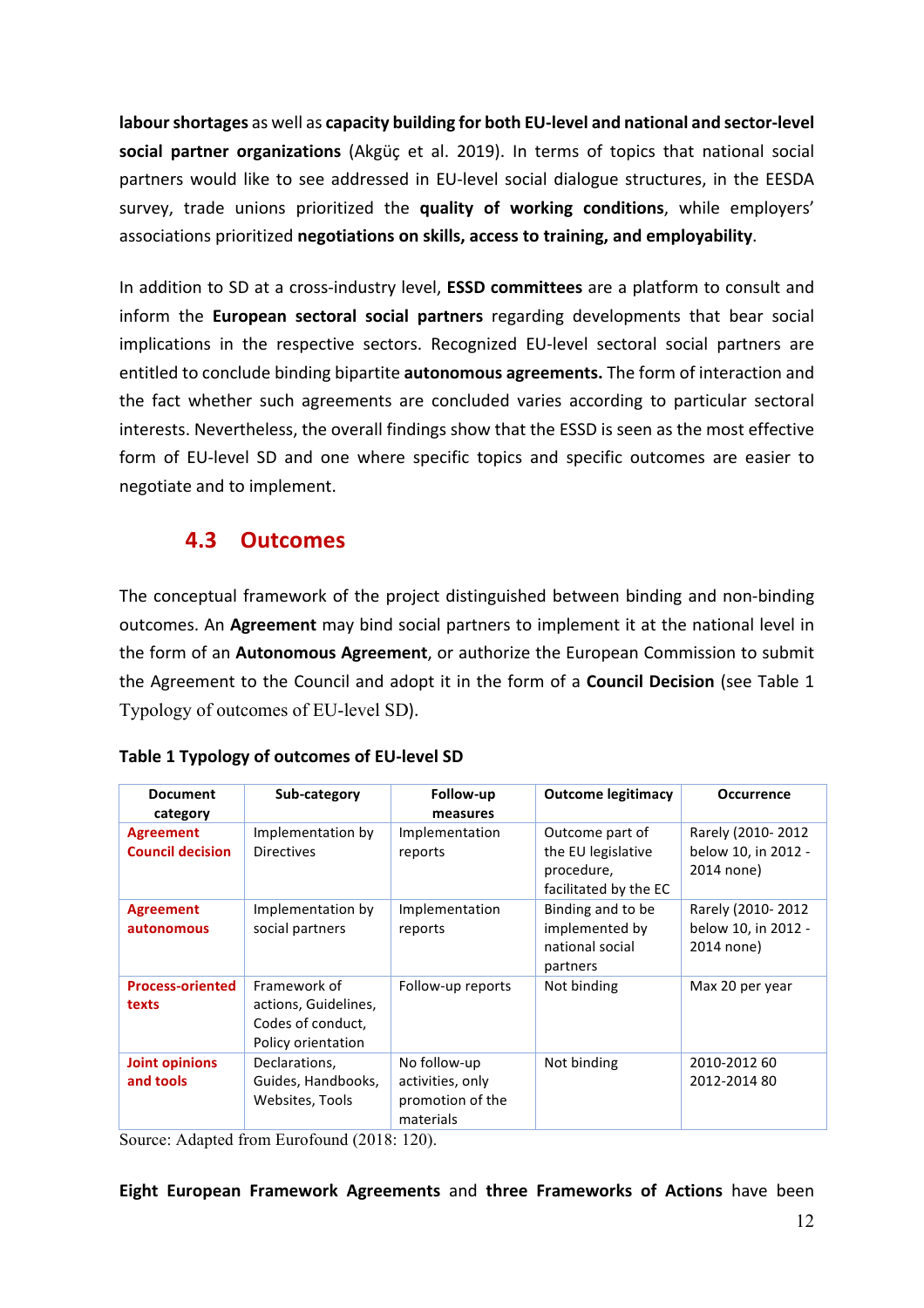**labour shortages** as well as capacity building for both EU-level and national and sector-level **social partner organizations** (Akgüc et al. 2019). In terms of topics that national social partners would like to see addressed in EU-level social dialogue structures, in the EESDA survey, trade unions prioritized the **quality of working conditions**, while employers' associations prioritized negotiations on skills, access to training, and employability.

In addition to SD at a cross-industry level, **ESSD committees** are a platform to consult and inform the **European sectoral social partners** regarding developments that bear social implications in the respective sectors. Recognized EU-level sectoral social partners are entitled to conclude binding bipartite **autonomous agreements.** The form of interaction and the fact whether such agreements are concluded varies according to particular sectoral interests. Nevertheless, the overall findings show that the ESSD is seen as the most effective form of EU-level SD and one where specific topics and specific outcomes are easier to negotiate and to implement.

#### **4.3 Outcomes**

The conceptual framework of the project distinguished between binding and non-binding outcomes. An **Agreement** may bind social partners to implement it at the national level in the form of an Autonomous Agreement, or authorize the European Commission to submit the Agreement to the Council and adopt it in the form of a **Council Decision** (see Table 1 Typology of outcomes of EU-level SD). 

| <b>Document</b><br>category                 | Sub-category                                                                    | Follow-up<br>measures                                             | <b>Outcome legitimacy</b>                                                    | <b>Occurrence</b>                                      |
|---------------------------------------------|---------------------------------------------------------------------------------|-------------------------------------------------------------------|------------------------------------------------------------------------------|--------------------------------------------------------|
| <b>Agreement</b><br><b>Council decision</b> | Implementation by<br><b>Directives</b>                                          | Implementation<br>reports                                         | Outcome part of<br>the EU legislative<br>procedure,<br>facilitated by the EC | Rarely (2010-2012<br>below 10, in 2012 -<br>2014 none) |
| <b>Agreement</b><br>autonomous              | Implementation by<br>social partners                                            | Implementation<br>reports                                         | Binding and to be<br>implemented by<br>national social<br>partners           | Rarely (2010-2012<br>below 10, in 2012 -<br>2014 none) |
| <b>Process-oriented</b><br>texts            | Framework of<br>actions, Guidelines,<br>Codes of conduct,<br>Policy orientation | Follow-up reports                                                 | Not binding                                                                  | Max 20 per year                                        |
| <b>Joint opinions</b><br>and tools          | Declarations,<br>Guides, Handbooks,<br>Websites, Tools                          | No follow-up<br>activities, only<br>promotion of the<br>materials | Not binding                                                                  | 2010-2012 60<br>2012-2014 80                           |

#### **Table 1 Typology of outcomes of EU-level SD**

Source: Adapted from Eurofound (2018: 120).

#### **Eight European Framework Agreements** and **three Frameworks of Actions** have been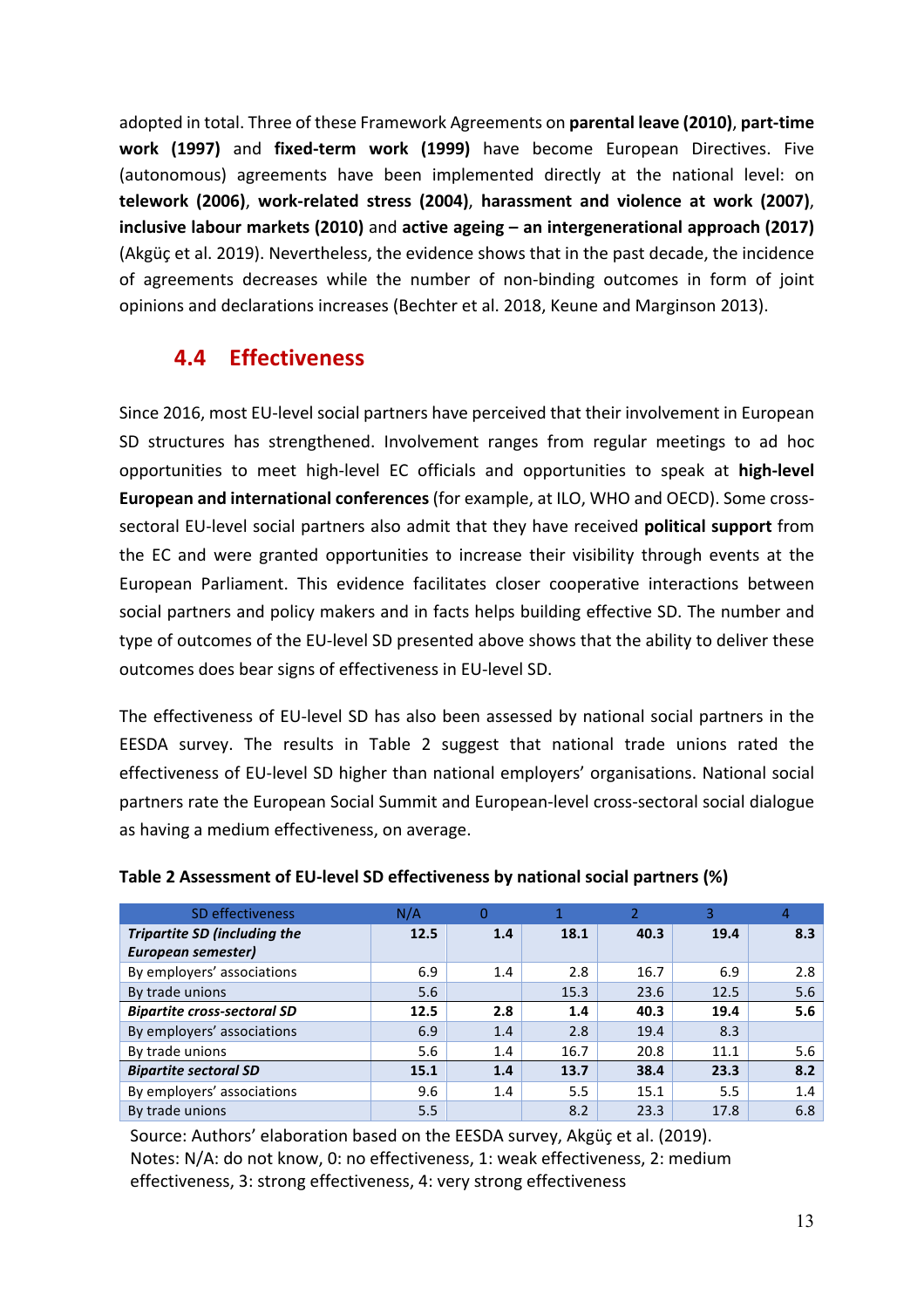adopted in total. Three of these Framework Agreements on **parental leave (2010)**, **part-time** work (1997) and fixed-term work (1999) have become European Directives. Five (autonomous) agreements have been implemented directly at the national level: on **telework (2006)**, **work-related stress (2004)**, **harassment and violence at work (2007)**, **inclusive labour markets (2010)** and active ageing – an intergenerational approach (2017) (Akgüç et al. 2019). Nevertheless, the evidence shows that in the past decade, the incidence of agreements decreases while the number of non-binding outcomes in form of joint opinions and declarations increases (Bechter et al. 2018, Keune and Marginson 2013).

### **4.4 Effectiveness**

Since 2016, most EU-level social partners have perceived that their involvement in European SD structures has strengthened. Involvement ranges from regular meetings to ad hoc opportunities to meet high-level EC officials and opportunities to speak at **high-level European and international conferences** (for example, at ILO, WHO and OECD). Some crosssectoral EU-level social partners also admit that they have received **political support** from the EC and were granted opportunities to increase their visibility through events at the European Parliament. This evidence facilitates closer cooperative interactions between social partners and policy makers and in facts helps building effective SD. The number and type of outcomes of the EU-level SD presented above shows that the ability to deliver these outcomes does bear signs of effectiveness in EU-level SD.

The effectiveness of EU-level SD has also been assessed by national social partners in the EESDA survey. The results in Table 2 suggest that national trade unions rated the effectiveness of EU-level SD higher than national employers' organisations. National social partners rate the European Social Summit and European-level cross-sectoral social dialogue as having a medium effectiveness, on average.

| SD effectiveness                    | N/A  | 0   |      |      |      |     |
|-------------------------------------|------|-----|------|------|------|-----|
| <b>Tripartite SD (including the</b> | 12.5 | 1.4 | 18.1 | 40.3 | 19.4 | 8.3 |
| European semester)                  |      |     |      |      |      |     |
| By employers' associations          | 6.9  | 1.4 | 2.8  | 16.7 | 6.9  | 2.8 |
| By trade unions                     | 5.6  |     | 15.3 | 23.6 | 12.5 | 5.6 |
| <b>Bipartite cross-sectoral SD</b>  | 12.5 | 2.8 | 1.4  | 40.3 | 19.4 | 5.6 |
| By employers' associations          | 6.9  | 1.4 | 2.8  | 19.4 | 8.3  |     |
| By trade unions                     | 5.6  | 1.4 | 16.7 | 20.8 | 11.1 | 5.6 |
| <b>Bipartite sectoral SD</b>        | 15.1 | 1.4 | 13.7 | 38.4 | 23.3 | 8.2 |
| By employers' associations          | 9.6  | 1.4 | 5.5  | 15.1 | 5.5  | 1.4 |
| By trade unions                     | 5.5  |     | 8.2  | 23.3 | 17.8 | 6.8 |

#### **Table 2 Assessment of EU-level SD effectiveness by national social partners (%)**

Source: Authors' elaboration based on the EESDA survey, Akgüç et al. (2019). Notes: N/A: do not know, 0: no effectiveness, 1: weak effectiveness, 2: medium effectiveness, 3: strong effectiveness, 4: very strong effectiveness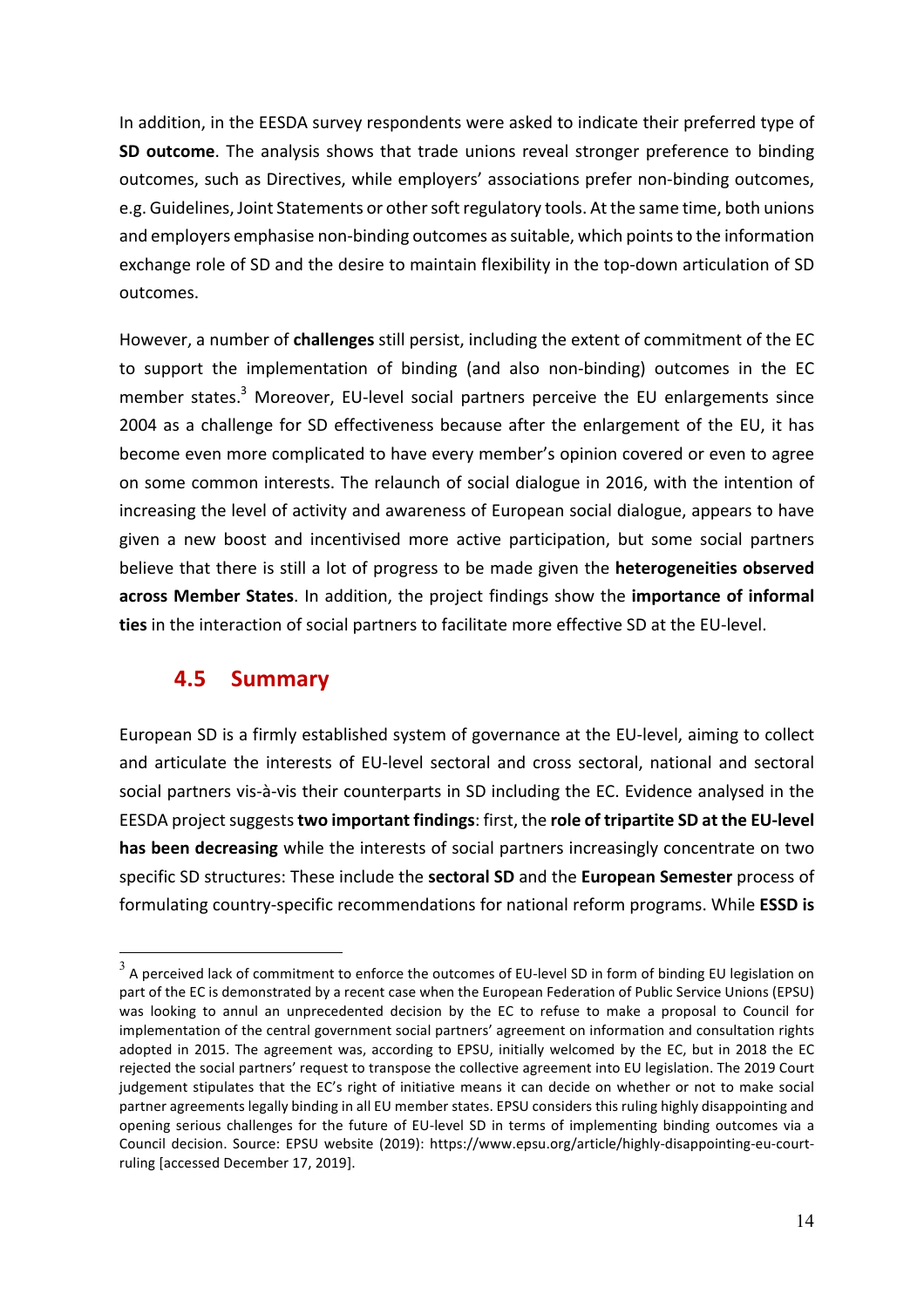In addition, in the EESDA survey respondents were asked to indicate their preferred type of **SD outcome**. The analysis shows that trade unions reveal stronger preference to binding outcomes, such as Directives, while employers' associations prefer non-binding outcomes, e.g. Guidelines, Joint Statements or other soft regulatory tools. At the same time, both unions and employers emphasise non-binding outcomes as suitable, which points to the information exchange role of SD and the desire to maintain flexibility in the top-down articulation of SD outcomes.

However, a number of **challenges** still persist, including the extent of commitment of the EC to support the implementation of binding (and also non-binding) outcomes in the EC member states.<sup>3</sup> Moreover, EU-level social partners perceive the EU enlargements since 2004 as a challenge for SD effectiveness because after the enlargement of the EU, it has become even more complicated to have every member's opinion covered or even to agree on some common interests. The relaunch of social dialogue in 2016, with the intention of increasing the level of activity and awareness of European social dialogue, appears to have given a new boost and incentivised more active participation, but some social partners believe that there is still a lot of progress to be made given the **heterogeneities observed** across Member States. In addition, the project findings show the importance of informal ties in the interaction of social partners to facilitate more effective SD at the EU-level.

#### **4.5 Summary**

European SD is a firmly established system of governance at the EU-level, aiming to collect and articulate the interests of EU-level sectoral and cross sectoral, national and sectoral social partners vis-à-vis their counterparts in SD including the EC. Evidence analysed in the EESDA project suggests **two important findings**: first, the **role of tripartite SD at the EU-level** has been decreasing while the interests of social partners increasingly concentrate on two specific SD structures: These include the **sectoral SD** and the **European Semester** process of formulating country-specific recommendations for national reform programs. While **ESSD** is

 $3$  A perceived lack of commitment to enforce the outcomes of EU-level SD in form of binding EU legislation on part of the EC is demonstrated by a recent case when the European Federation of Public Service Unions (EPSU) was looking to annul an unprecedented decision by the EC to refuse to make a proposal to Council for implementation of the central government social partners' agreement on information and consultation rights adopted in 2015. The agreement was, according to EPSU, initially welcomed by the EC, but in 2018 the EC rejected the social partners' request to transpose the collective agreement into EU legislation. The 2019 Court judgement stipulates that the EC's right of initiative means it can decide on whether or not to make social partner agreements legally binding in all EU member states. EPSU considers this ruling highly disappointing and opening serious challenges for the future of EU-level SD in terms of implementing binding outcomes via a Council decision. Source: EPSU website (2019): https://www.epsu.org/article/highly-disappointing-eu-courtruling [accessed December 17, 2019].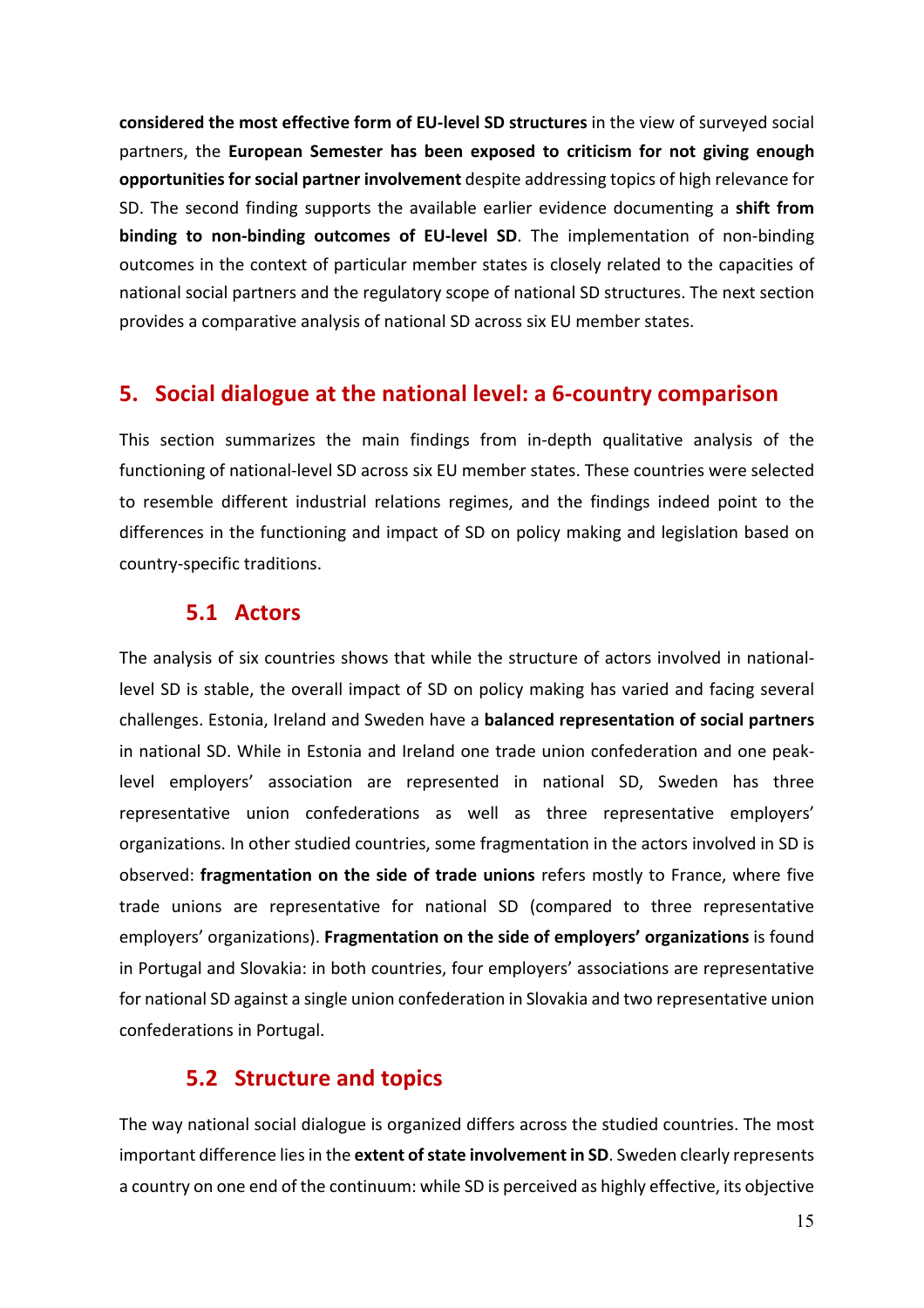**considered the most effective form of EU-level SD structures** in the view of surveyed social partners, the **European Semester has been exposed to criticism for not giving enough opportunities for social partner involvement** despite addressing topics of high relevance for SD. The second finding supports the available earlier evidence documenting a **shift from binding to non-binding outcomes of EU-level SD**. The implementation of non-binding outcomes in the context of particular member states is closely related to the capacities of national social partners and the regulatory scope of national SD structures. The next section provides a comparative analysis of national SD across six EU member states.

#### **5. Social dialogue at the national level: a 6-country comparison**

This section summarizes the main findings from in-depth qualitative analysis of the functioning of national-level SD across six EU member states. These countries were selected to resemble different industrial relations regimes, and the findings indeed point to the differences in the functioning and impact of SD on policy making and legislation based on country-specific traditions.

#### **5.1 Actors**

The analysis of six countries shows that while the structure of actors involved in nationallevel SD is stable, the overall impact of SD on policy making has varied and facing several challenges. Estonia, Ireland and Sweden have a **balanced representation of social partners** in national SD. While in Estonia and Ireland one trade union confederation and one peaklevel employers' association are represented in national SD, Sweden has three representative union confederations as well as three representative employers' organizations. In other studied countries, some fragmentation in the actors involved in SD is observed: **fragmentation on the side of trade unions** refers mostly to France, where five trade unions are representative for national SD (compared to three representative employers' organizations). **Fragmentation on the side of employers' organizations** is found in Portugal and Slovakia: in both countries, four employers' associations are representative for national SD against a single union confederation in Slovakia and two representative union confederations in Portugal.

#### **5.2 Structure and topics**

The way national social dialogue is organized differs across the studied countries. The most important difference lies in the **extent of state involvement in SD**. Sweden clearly represents a country on one end of the continuum: while SD is perceived as highly effective, its objective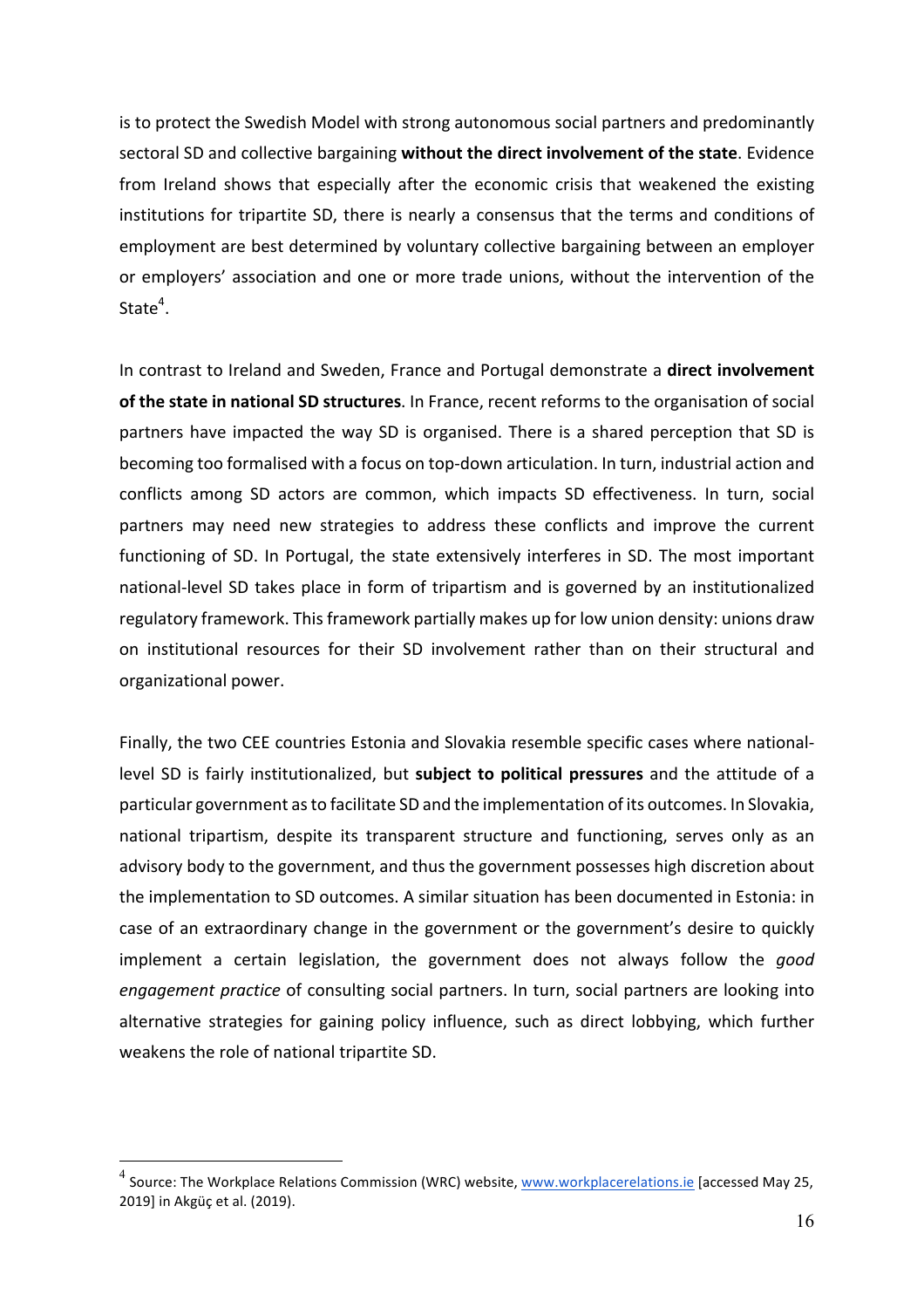is to protect the Swedish Model with strong autonomous social partners and predominantly sectoral SD and collective bargaining without the direct involvement of the state. Evidence from Ireland shows that especially after the economic crisis that weakened the existing institutions for tripartite SD, there is nearly a consensus that the terms and conditions of employment are best determined by voluntary collective bargaining between an employer or employers' association and one or more trade unions, without the intervention of the State $4$ .

In contrast to Ireland and Sweden, France and Portugal demonstrate a **direct involvement** of the state in national SD structures. In France, recent reforms to the organisation of social partners have impacted the way SD is organised. There is a shared perception that SD is becoming too formalised with a focus on top-down articulation. In turn, industrial action and conflicts among SD actors are common, which impacts SD effectiveness. In turn, social partners may need new strategies to address these conflicts and improve the current functioning of SD. In Portugal, the state extensively interferes in SD. The most important national-level SD takes place in form of tripartism and is governed by an institutionalized regulatory framework. This framework partially makes up for low union density: unions draw on institutional resources for their SD involvement rather than on their structural and organizational power.

Finally, the two CEE countries Estonia and Slovakia resemble specific cases where nationallevel SD is fairly institutionalized, but **subject to political pressures** and the attitude of a particular government as to facilitate SD and the implementation of its outcomes. In Slovakia, national tripartism, despite its transparent structure and functioning, serves only as an advisory body to the government, and thus the government possesses high discretion about the implementation to SD outcomes. A similar situation has been documented in Estonia: in case of an extraordinary change in the government or the government's desire to quickly implement a certain legislation, the government does not always follow the good *engagement practice* of consulting social partners. In turn, social partners are looking into alternative strategies for gaining policy influence, such as direct lobbying, which further weakens the role of national tripartite SD.

 $^4$  Source: The Workplace Relations Commission (WRC) website, www.workplacerelations.ie [accessed May 25, 2019] in Akgüç et al. (2019).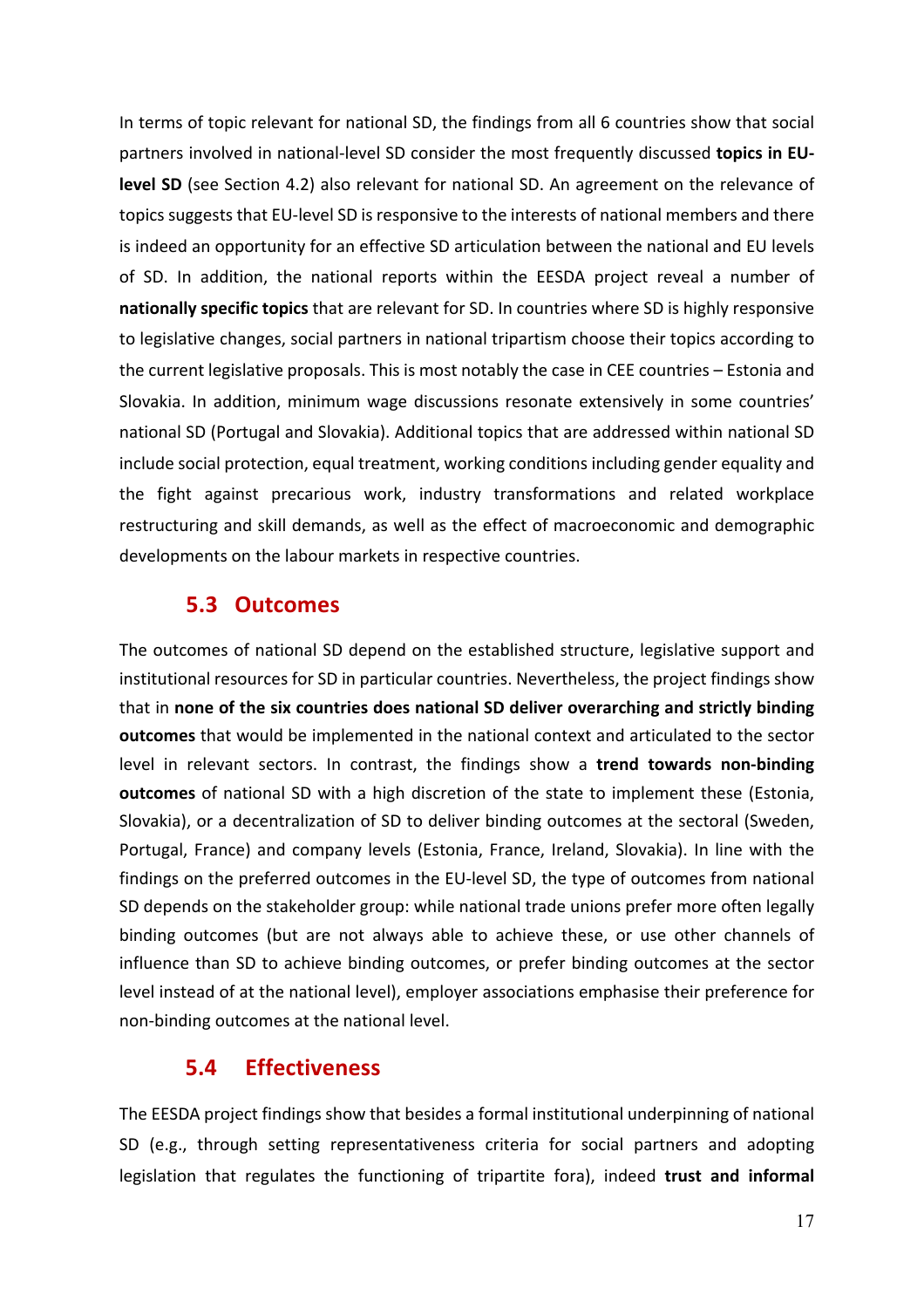In terms of topic relevant for national SD, the findings from all 6 countries show that social partners involved in national-level SD consider the most frequently discussed topics in EU**level SD** (see Section 4.2) also relevant for national SD. An agreement on the relevance of topics suggests that EU-level SD is responsive to the interests of national members and there is indeed an opportunity for an effective SD articulation between the national and EU levels of SD. In addition, the national reports within the EESDA project reveal a number of **nationally specific topics** that are relevant for SD. In countries where SD is highly responsive to legislative changes, social partners in national tripartism choose their topics according to the current legislative proposals. This is most notably the case in CEE countries  $-$  Estonia and Slovakia. In addition, minimum wage discussions resonate extensively in some countries' national SD (Portugal and Slovakia). Additional topics that are addressed within national SD include social protection, equal treatment, working conditions including gender equality and the fight against precarious work, industry transformations and related workplace restructuring and skill demands, as well as the effect of macroeconomic and demographic developments on the labour markets in respective countries.

#### **5.3 Outcomes**

The outcomes of national SD depend on the established structure, legislative support and institutional resources for SD in particular countries. Nevertheless, the project findings show that in none of the six countries does national SD deliver overarching and strictly binding **outcomes** that would be implemented in the national context and articulated to the sector level in relevant sectors. In contrast, the findings show a **trend towards non-binding outcomes** of national SD with a high discretion of the state to implement these (Estonia, Slovakia), or a decentralization of SD to deliver binding outcomes at the sectoral (Sweden, Portugal, France) and company levels (Estonia, France, Ireland, Slovakia). In line with the findings on the preferred outcomes in the EU-level SD, the type of outcomes from national SD depends on the stakeholder group: while national trade unions prefer more often legally binding outcomes (but are not always able to achieve these, or use other channels of influence than SD to achieve binding outcomes, or prefer binding outcomes at the sector level instead of at the national level), employer associations emphasise their preference for non-binding outcomes at the national level.

#### **5.4 Effectiveness**

The EESDA project findings show that besides a formal institutional underpinning of national SD (e.g., through setting representativeness criteria for social partners and adopting legislation that regulates the functioning of tripartite fora), indeed **trust and informal**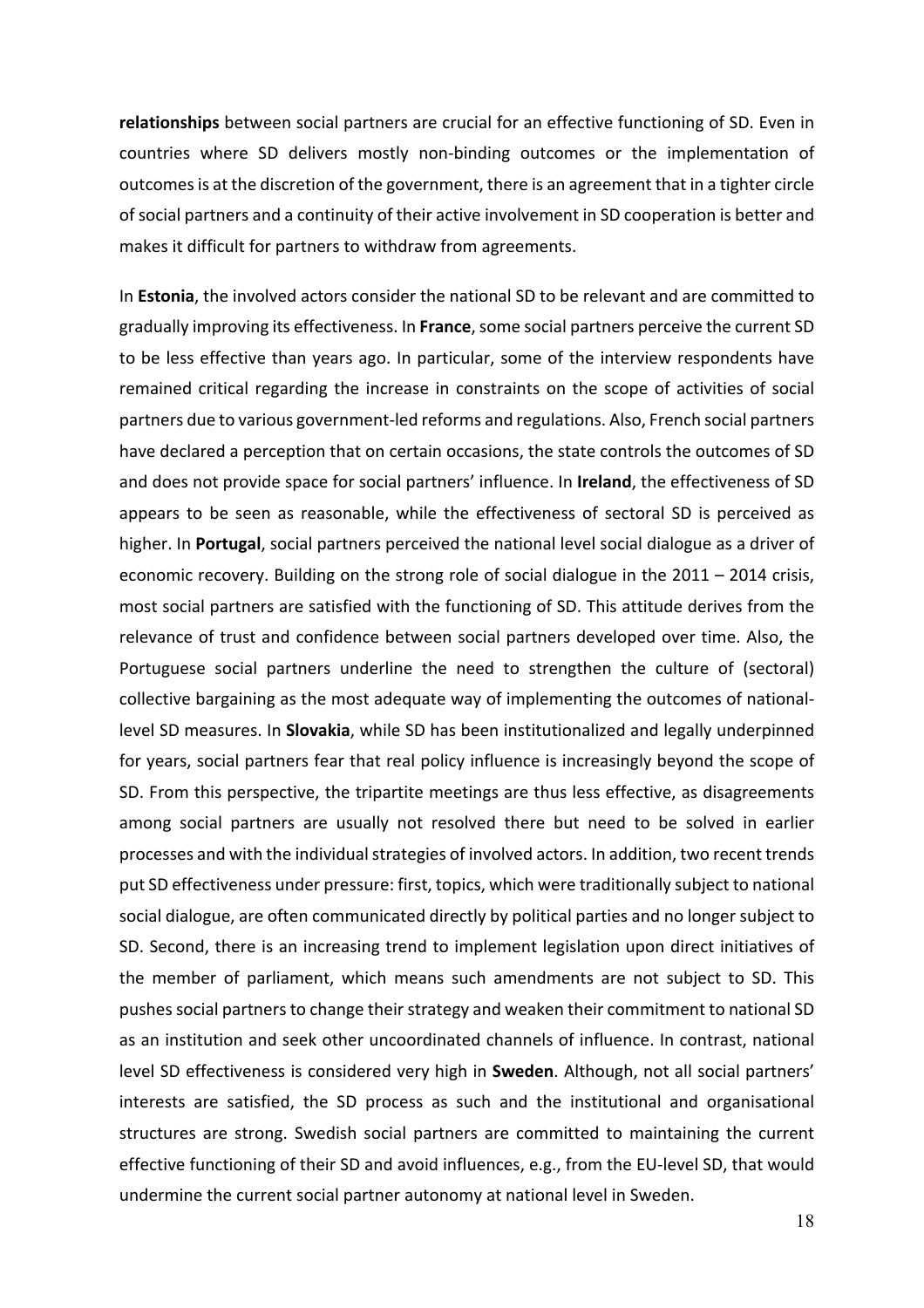**relationships** between social partners are crucial for an effective functioning of SD. Even in countries where SD delivers mostly non-binding outcomes or the implementation of outcomes is at the discretion of the government, there is an agreement that in a tighter circle of social partners and a continuity of their active involvement in SD cooperation is better and makes it difficult for partners to withdraw from agreements.

In **Estonia**, the involved actors consider the national SD to be relevant and are committed to gradually improving its effectiveness. In France, some social partners perceive the current SD to be less effective than years ago. In particular, some of the interview respondents have remained critical regarding the increase in constraints on the scope of activities of social partners due to various government-led reforms and regulations. Also, French social partners have declared a perception that on certain occasions, the state controls the outcomes of SD and does not provide space for social partners' influence. In **Ireland**, the effectiveness of SD appears to be seen as reasonable, while the effectiveness of sectoral SD is perceived as higher. In **Portugal**, social partners perceived the national level social dialogue as a driver of economic recovery. Building on the strong role of social dialogue in the  $2011 - 2014$  crisis, most social partners are satisfied with the functioning of SD. This attitude derives from the relevance of trust and confidence between social partners developed over time. Also, the Portuguese social partners underline the need to strengthen the culture of (sectoral) collective bargaining as the most adequate way of implementing the outcomes of nationallevel SD measures. In **Slovakia**, while SD has been institutionalized and legally underpinned for years, social partners fear that real policy influence is increasingly beyond the scope of SD. From this perspective, the tripartite meetings are thus less effective, as disagreements among social partners are usually not resolved there but need to be solved in earlier processes and with the individual strategies of involved actors. In addition, two recent trends put SD effectiveness under pressure: first, topics, which were traditionally subject to national social dialogue, are often communicated directly by political parties and no longer subject to SD. Second, there is an increasing trend to implement legislation upon direct initiatives of the member of parliament, which means such amendments are not subject to SD. This pushes social partners to change their strategy and weaken their commitment to national SD as an institution and seek other uncoordinated channels of influence. In contrast, national level SD effectiveness is considered very high in **Sweden**. Although, not all social partners' interests are satisfied, the SD process as such and the institutional and organisational structures are strong. Swedish social partners are committed to maintaining the current effective functioning of their SD and avoid influences, e.g., from the EU-level SD, that would undermine the current social partner autonomy at national level in Sweden.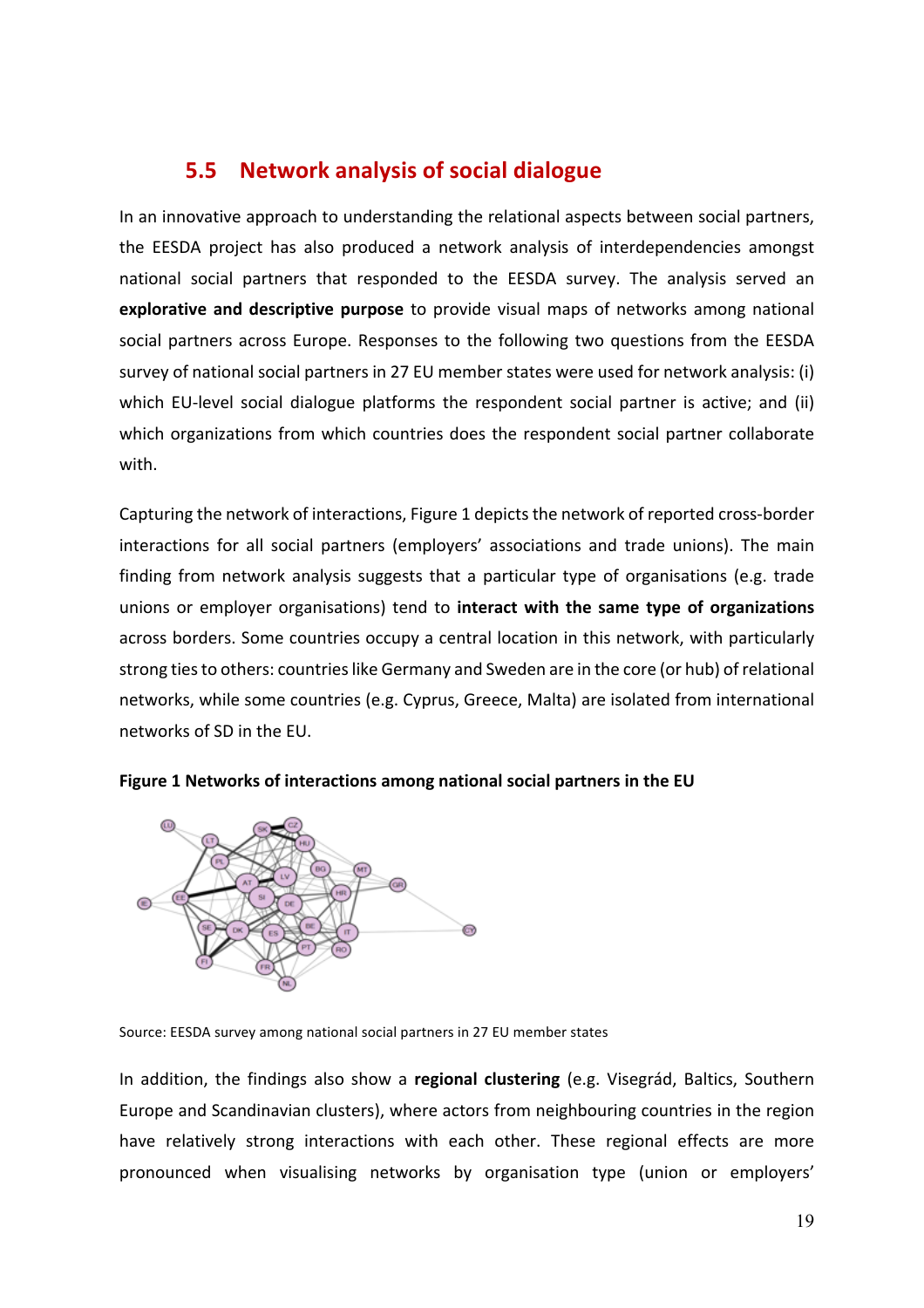### **5.5** Network analysis of social dialogue

In an innovative approach to understanding the relational aspects between social partners, the EESDA project has also produced a network analysis of interdependencies amongst national social partners that responded to the EESDA survey. The analysis served an **explorative and descriptive purpose** to provide visual maps of networks among national social partners across Europe. Responses to the following two questions from the EESDA survey of national social partners in 27 EU member states were used for network analysis: (i) which EU-level social dialogue platforms the respondent social partner is active; and (ii) which organizations from which countries does the respondent social partner collaborate with.

Capturing the network of interactions, Figure 1 depicts the network of reported cross-border interactions for all social partners (employers' associations and trade unions). The main finding from network analysis suggests that a particular type of organisations (e.g. trade unions or employer organisations) tend to interact with the same type of organizations across borders. Some countries occupy a central location in this network, with particularly strong ties to others: countries like Germany and Sweden are in the core (or hub) of relational networks, while some countries (e.g. Cyprus, Greece, Malta) are isolated from international networks of SD in the EU.





Source: EESDA survey among national social partners in 27 EU member states

In addition, the findings also show a **regional clustering** (e.g. Visegrád, Baltics, Southern Europe and Scandinavian clusters), where actors from neighbouring countries in the region have relatively strong interactions with each other. These regional effects are more pronounced when visualising networks by organisation type (union or employers'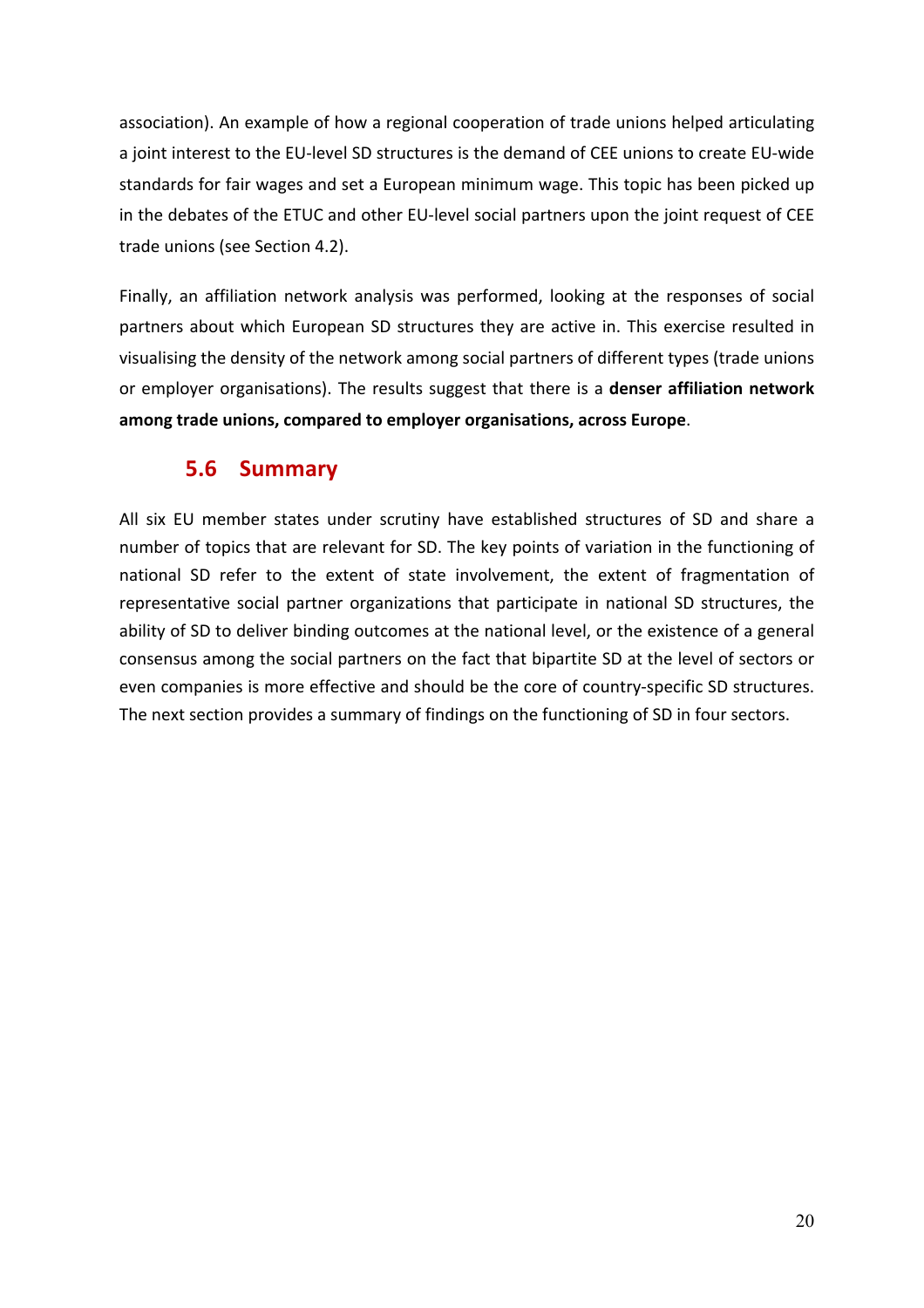association). An example of how a regional cooperation of trade unions helped articulating a joint interest to the EU-level SD structures is the demand of CEE unions to create EU-wide standards for fair wages and set a European minimum wage. This topic has been picked up in the debates of the ETUC and other EU-level social partners upon the joint request of CEE trade unions (see Section 4.2).

Finally, an affiliation network analysis was performed, looking at the responses of social partners about which European SD structures they are active in. This exercise resulted in visualising the density of the network among social partners of different types (trade unions or employer organisations). The results suggest that there is a **denser affiliation network** among trade unions, compared to employer organisations, across Europe.

#### **5.6 Summary**

All six EU member states under scrutiny have established structures of SD and share a number of topics that are relevant for SD. The key points of variation in the functioning of national SD refer to the extent of state involvement, the extent of fragmentation of representative social partner organizations that participate in national SD structures, the ability of SD to deliver binding outcomes at the national level, or the existence of a general consensus among the social partners on the fact that bipartite SD at the level of sectors or even companies is more effective and should be the core of country-specific SD structures. The next section provides a summary of findings on the functioning of SD in four sectors.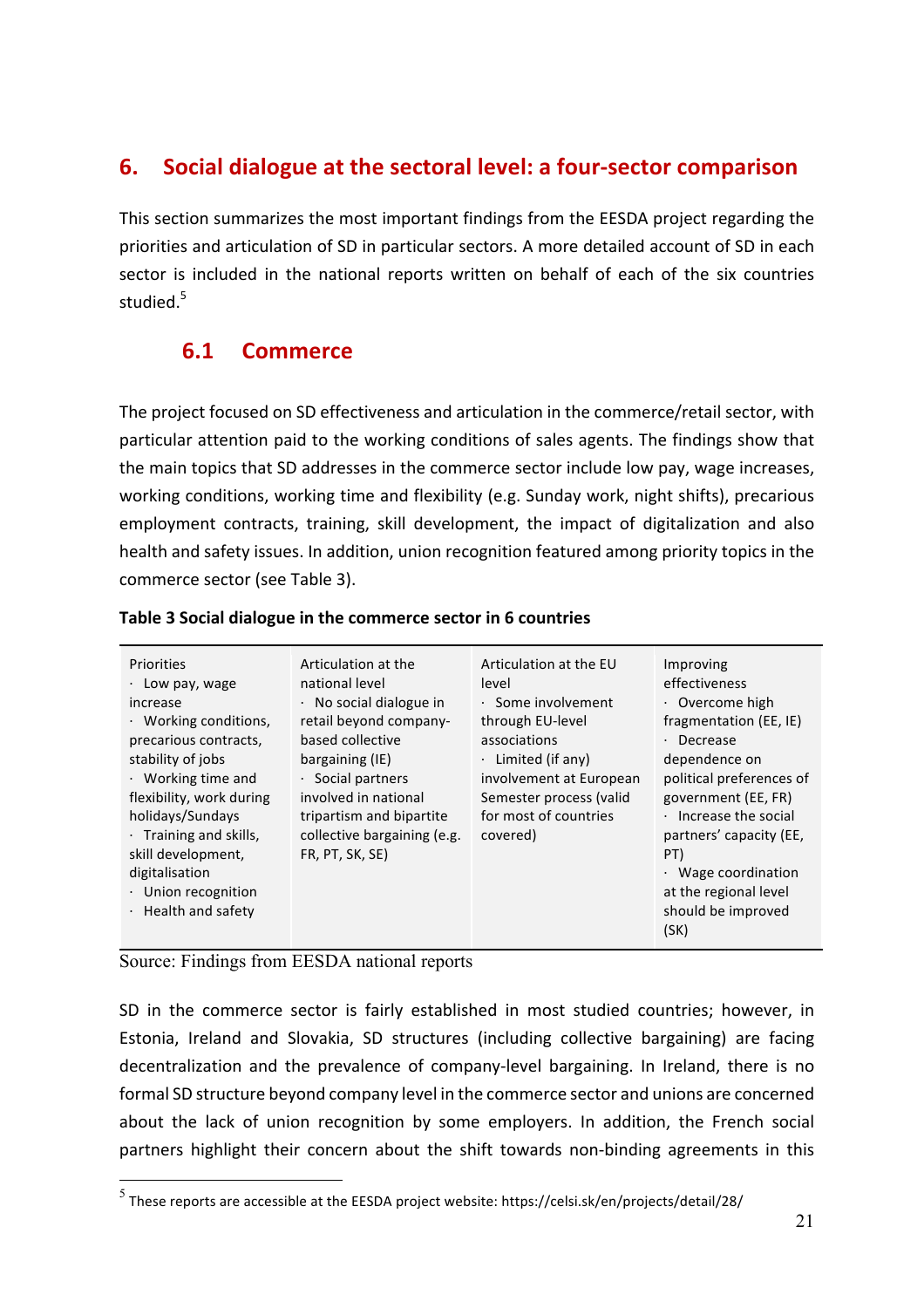#### **6. Social dialogue at the sectoral level: a four-sector comparison**

This section summarizes the most important findings from the EESDA project regarding the priorities and articulation of SD in particular sectors. A more detailed account of SD in each sector is included in the national reports written on behalf of each of the six countries studied.<sup>5</sup>

### **6.1 Commerce**

The project focused on SD effectiveness and articulation in the commerce/retail sector, with particular attention paid to the working conditions of sales agents. The findings show that the main topics that SD addresses in the commerce sector include low pay, wage increases, working conditions, working time and flexibility (e.g. Sunday work, night shifts), precarious employment contracts, training, skill development, the impact of digitalization and also health and safety issues. In addition, union recognition featured among priority topics in the commerce sector (see Table 3).

#### **Table 3 Social dialogue in the commerce sector in 6 countries**

Source: Findings from EESDA national reports

SD in the commerce sector is fairly established in most studied countries; however, in Estonia, Ireland and Slovakia, SD structures (including collective bargaining) are facing decentralization and the prevalence of company-level bargaining. In Ireland, there is no formal SD structure beyond company level in the commerce sector and unions are concerned about the lack of union recognition by some employers. In addition, the French social partners highlight their concern about the shift towards non-binding agreements in this

 $^5$  These reports are accessible at the EESDA project website: https://celsi.sk/en/projects/detail/28/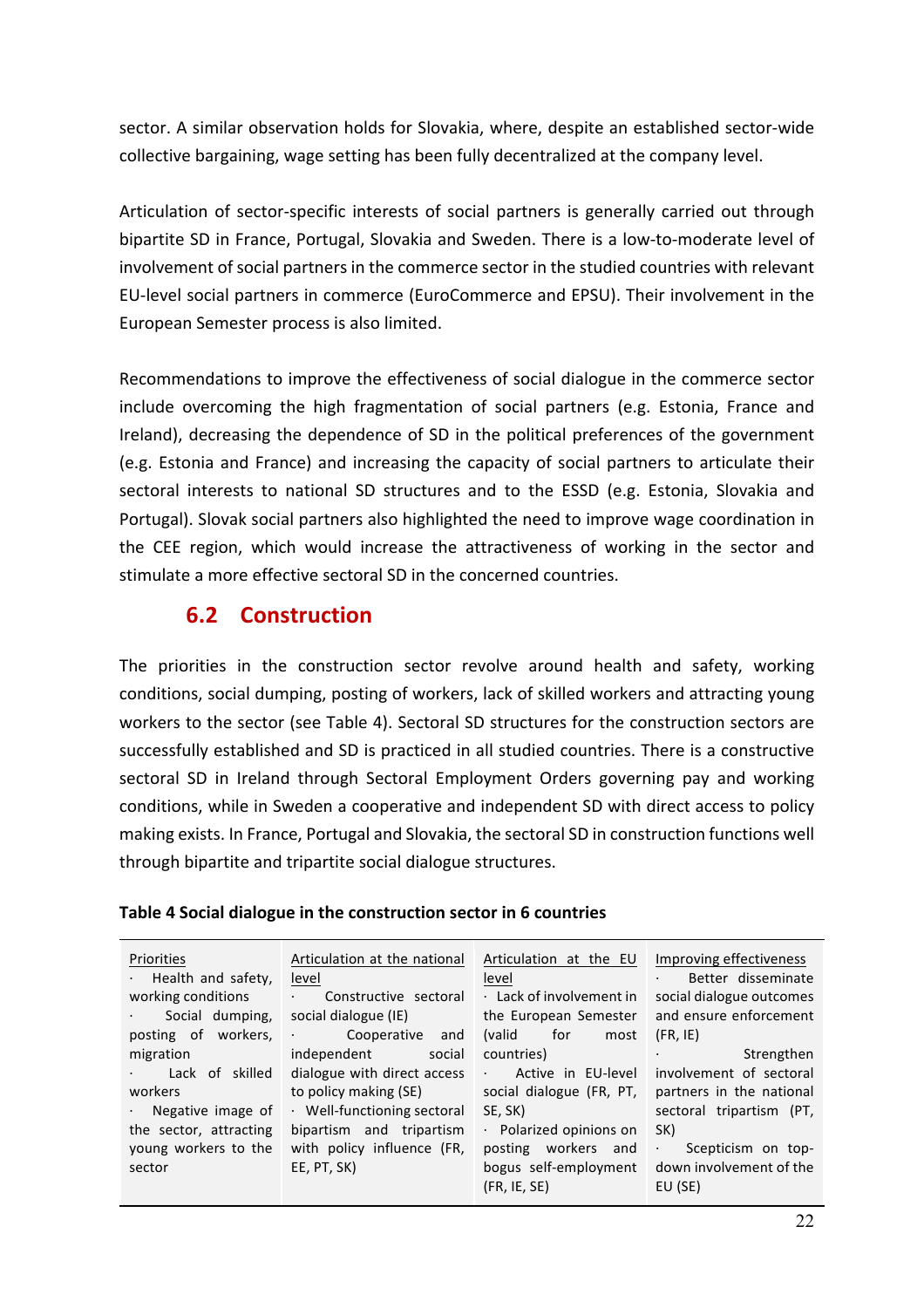sector. A similar observation holds for Slovakia, where, despite an established sector-wide collective bargaining, wage setting has been fully decentralized at the company level.

Articulation of sector-specific interests of social partners is generally carried out through bipartite SD in France, Portugal, Slovakia and Sweden. There is a low-to-moderate level of involvement of social partners in the commerce sector in the studied countries with relevant EU-level social partners in commerce (EuroCommerce and EPSU). Their involvement in the European Semester process is also limited.

Recommendations to improve the effectiveness of social dialogue in the commerce sector include overcoming the high fragmentation of social partners (e.g. Estonia, France and Ireland), decreasing the dependence of SD in the political preferences of the government (e.g. Estonia and France) and increasing the capacity of social partners to articulate their sectoral interests to national SD structures and to the ESSD (e.g. Estonia, Slovakia and Portugal). Slovak social partners also highlighted the need to improve wage coordination in the CEE region, which would increase the attractiveness of working in the sector and stimulate a more effective sectoral SD in the concerned countries.

#### **6.2 Construction**

The priorities in the construction sector revolve around health and safety, working conditions, social dumping, posting of workers, lack of skilled workers and attracting young workers to the sector (see Table 4). Sectoral SD structures for the construction sectors are successfully established and SD is practiced in all studied countries. There is a constructive sectoral SD in Ireland through Sectoral Employment Orders governing pay and working conditions, while in Sweden a cooperative and independent SD with direct access to policy making exists. In France, Portugal and Slovakia, the sectoral SD in construction functions well through bipartite and tripartite social dialogue structures.

|  |  |  |  | Table 4 Social dialogue in the construction sector in 6 countries |
|--|--|--|--|-------------------------------------------------------------------|
|--|--|--|--|-------------------------------------------------------------------|

| Priorities                 | Articulation at the national                                            | Articulation at the EU | Improving effectiveness            |
|----------------------------|-------------------------------------------------------------------------|------------------------|------------------------------------|
| $\cdot$ Health and safety, | level                                                                   | level                  | Better disseminate<br>$\sim 100$   |
| working conditions         | Constructive sectoral<br>$\mathbf{A} = \mathbf{0} \times \mathbf{0}$    | Lack of involvement in | social dialogue outcomes           |
| Social dumping,            | social dialogue (IE)                                                    | the European Semester  | and ensure enforcement             |
| posting of workers,        | Cooperative<br>and                                                      | for<br>(valid<br>most  | (FR, IE)                           |
| migration                  | independent<br>social                                                   | countries)             | Strengthen<br><b>All Contracts</b> |
| Lack of skilled            | dialogue with direct access                                             | · Active in EU-level   | involvement of sectoral            |
| workers                    | to policy making (SE) social dialogue (FR, PT, partners in the national |                        |                                    |
| $\cdot$ Negative image of  | · Well-functioning sectoral                                             | SE, SK)                | sectoral tripartism (PT,           |
| the sector, attracting     | bipartism and tripartism                                                | Polarized opinions on  | SK)                                |
| young workers to the       | with policy influence (FR,                                              | posting workers and    | $\epsilon$ .<br>Scepticism on top- |
| sector                     | EE, PT, SK)                                                             | bogus self-employment  | down involvement of the            |
|                            |                                                                         | (FR, IE, SE)           | EU (SE)                            |
|                            |                                                                         |                        |                                    |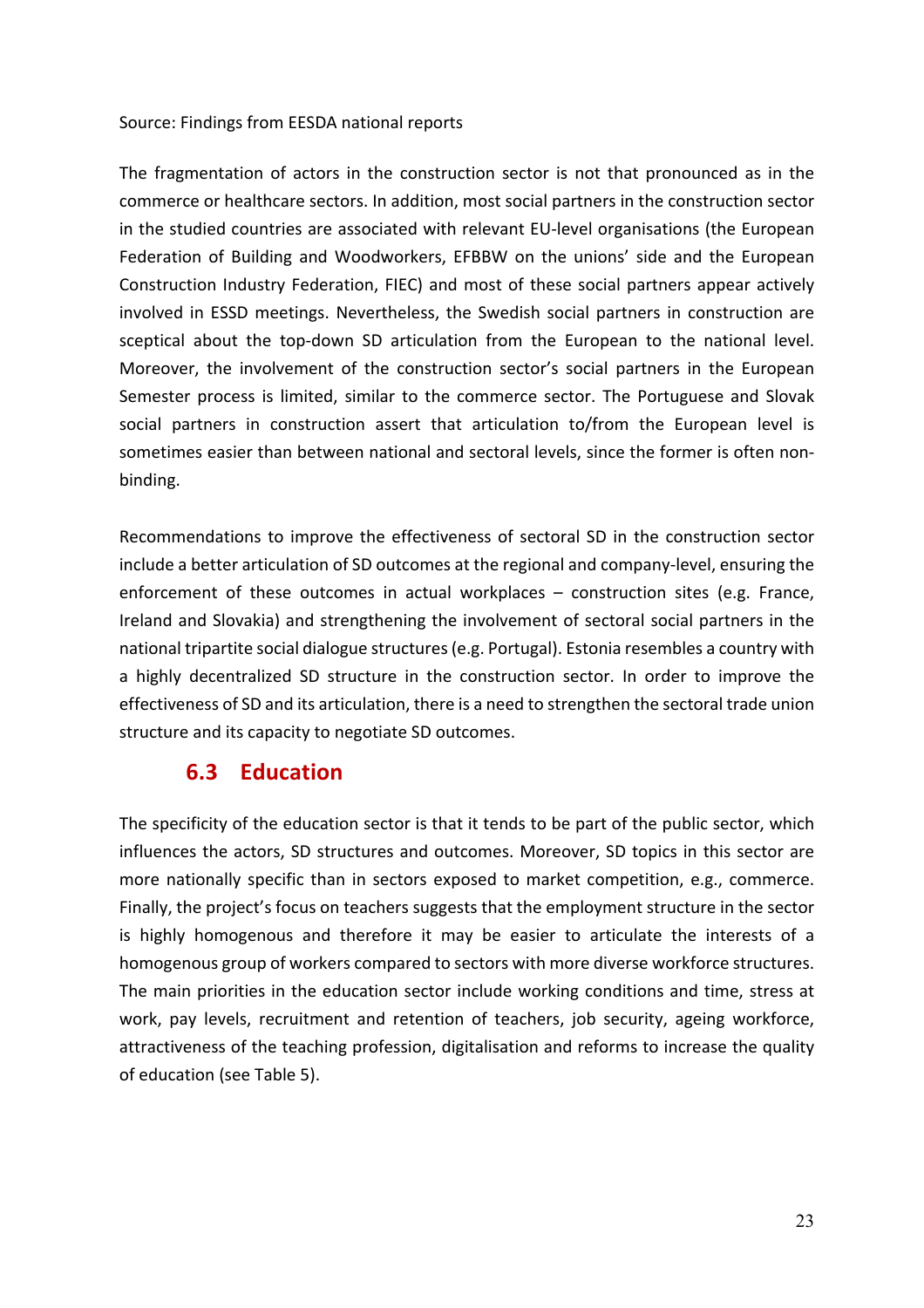#### Source: Findings from EESDA national reports

The fragmentation of actors in the construction sector is not that pronounced as in the commerce or healthcare sectors. In addition, most social partners in the construction sector in the studied countries are associated with relevant EU-level organisations (the European Federation of Building and Woodworkers, EFBBW on the unions' side and the European Construction Industry Federation, FIEC) and most of these social partners appear actively involved in ESSD meetings. Nevertheless, the Swedish social partners in construction are sceptical about the top-down SD articulation from the European to the national level. Moreover, the involvement of the construction sector's social partners in the European Semester process is limited, similar to the commerce sector. The Portuguese and Slovak social partners in construction assert that articulation to/from the European level is sometimes easier than between national and sectoral levels, since the former is often nonbinding.

Recommendations to improve the effectiveness of sectoral SD in the construction sector include a better articulation of SD outcomes at the regional and company-level, ensuring the enforcement of these outcomes in actual workplaces  $-$  construction sites (e.g. France, Ireland and Slovakia) and strengthening the involvement of sectoral social partners in the national tripartite social dialogue structures (e.g. Portugal). Estonia resembles a country with a highly decentralized SD structure in the construction sector. In order to improve the effectiveness of SD and its articulation, there is a need to strengthen the sectoral trade union structure and its capacity to negotiate SD outcomes.

#### **6.3 Education**

The specificity of the education sector is that it tends to be part of the public sector, which influences the actors, SD structures and outcomes. Moreover, SD topics in this sector are more nationally specific than in sectors exposed to market competition, e.g., commerce. Finally, the project's focus on teachers suggests that the employment structure in the sector is highly homogenous and therefore it may be easier to articulate the interests of a homogenous group of workers compared to sectors with more diverse workforce structures. The main priorities in the education sector include working conditions and time, stress at work, pay levels, recruitment and retention of teachers, job security, ageing workforce, attractiveness of the teaching profession, digitalisation and reforms to increase the quality of education (see Table 5).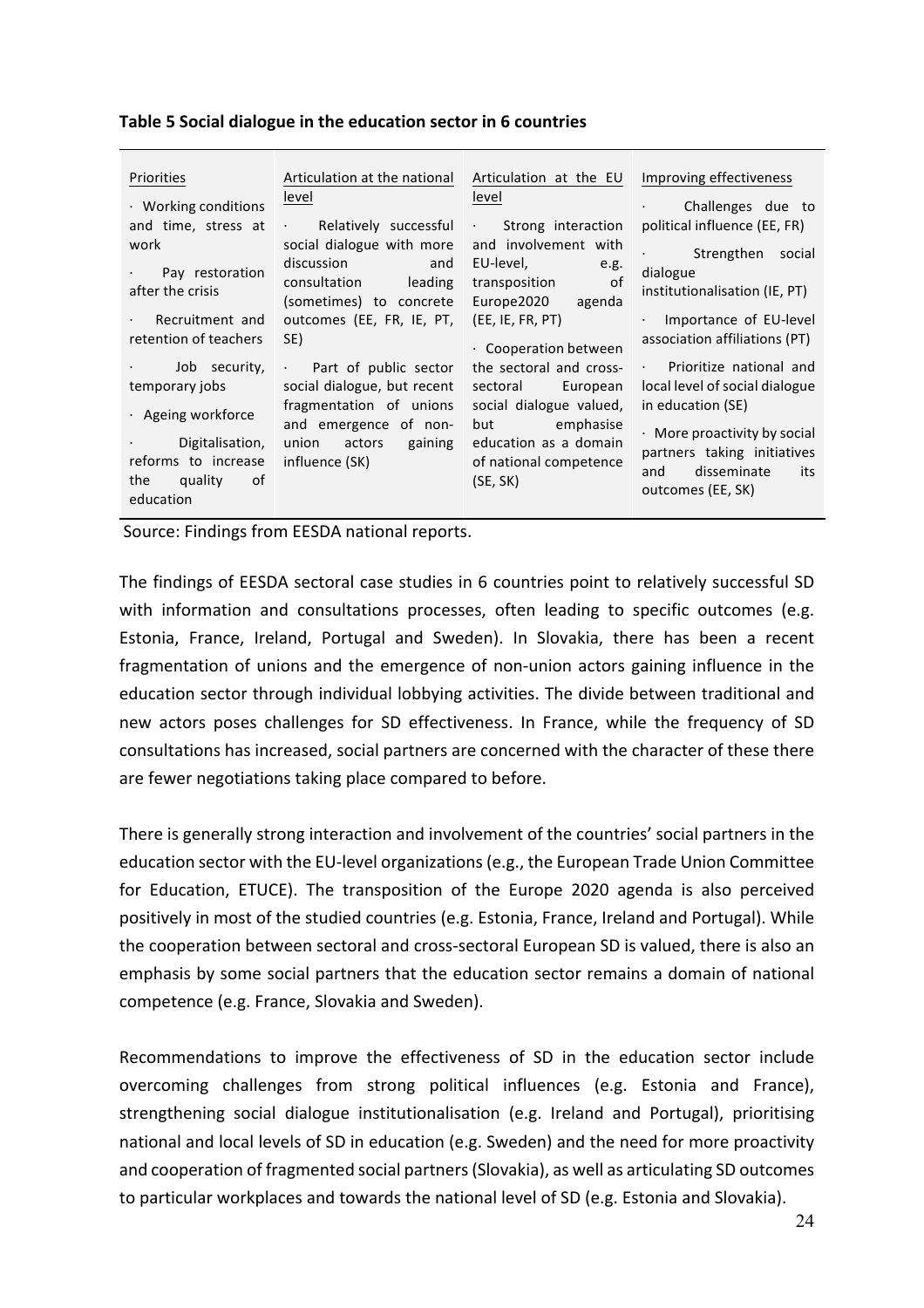| Priorities                                                                                        | Articulation at the national                                                                                                                                                                                                     | Articulation at the EU                                                                                                                                                                                   | Improving effectiveness                                                                                       |
|---------------------------------------------------------------------------------------------------|----------------------------------------------------------------------------------------------------------------------------------------------------------------------------------------------------------------------------------|----------------------------------------------------------------------------------------------------------------------------------------------------------------------------------------------------------|---------------------------------------------------------------------------------------------------------------|
| · Working conditions                                                                              | level                                                                                                                                                                                                                            | level                                                                                                                                                                                                    | Challenges due to                                                                                             |
| and time, stress at<br>work<br>Pay restoration<br>after the crisis                                | · Relatively successful<br>social dialogue with more<br>discussion and the control of the control of the control of the control of the control of the control of the c<br>and<br>consultation leading<br>(sometimes) to concrete | . Strong interaction<br>and involvement with<br>EU-level, and the set of the set of the set of the set of the set of the set of the set of the set o<br>e.g.<br>transposition of<br>Europe2020<br>agenda | political influence (EE, FR)<br>· Strengthen social<br>dialogue<br>institutionalisation (IE, PT)              |
| Recruitment and                                                                                   | outcomes (EE, FR, IE, PT,                                                                                                                                                                                                        | (EE, IE, FR, PT)                                                                                                                                                                                         | Importance of EU-level                                                                                        |
| retention of teachers                                                                             | SE)                                                                                                                                                                                                                              | Cooperation between                                                                                                                                                                                      | association affiliations (PT)                                                                                 |
| · Job security,                                                                                   | Part of public sector                                                                                                                                                                                                            | the sectoral and cross-                                                                                                                                                                                  | · Prioritize national and                                                                                     |
| temporary jobs                                                                                    | social dialogue, but recent                                                                                                                                                                                                      | sectoral European                                                                                                                                                                                        | local level of social dialogue                                                                                |
| · Ageing workforce                                                                                | fragmentation of unions                                                                                                                                                                                                          | social dialogue valued,                                                                                                                                                                                  | in education (SE)                                                                                             |
| Digitalisation,<br><b>Contract Contract</b><br>reforms to increase<br>the quality of<br>education | and emergence of non-<br>union actors gaining<br><b>Contract Contract</b><br>influence (SK)                                                                                                                                      | but emphasise<br>education as a domain<br>of national competence<br>(SE, SK)                                                                                                                             | • More proactivity by social<br>partners taking initiatives<br>disseminate<br>its<br>and<br>outcomes (EE, SK) |

#### **Table 5 Social dialogue in the education sector in 6 countries**

Source: Findings from EESDA national reports.

The findings of EESDA sectoral case studies in 6 countries point to relatively successful SD with information and consultations processes, often leading to specific outcomes (e.g. Estonia, France, Ireland, Portugal and Sweden). In Slovakia, there has been a recent fragmentation of unions and the emergence of non-union actors gaining influence in the education sector through individual lobbying activities. The divide between traditional and new actors poses challenges for SD effectiveness. In France, while the frequency of SD consultations has increased, social partners are concerned with the character of these there are fewer negotiations taking place compared to before.

There is generally strong interaction and involvement of the countries' social partners in the education sector with the EU-level organizations (e.g., the European Trade Union Committee for Education, ETUCE). The transposition of the Europe 2020 agenda is also perceived positively in most of the studied countries (e.g. Estonia, France, Ireland and Portugal). While the cooperation between sectoral and cross-sectoral European SD is valued, there is also an emphasis by some social partners that the education sector remains a domain of national competence (e.g. France, Slovakia and Sweden).

Recommendations to improve the effectiveness of SD in the education sector include overcoming challenges from strong political influences (e.g. Estonia and France), strengthening social dialogue institutionalisation (e.g. Ireland and Portugal), prioritising national and local levels of SD in education (e.g. Sweden) and the need for more proactivity and cooperation of fragmented social partners (Slovakia), as well as articulating SD outcomes to particular workplaces and towards the national level of SD (e.g. Estonia and Slovakia).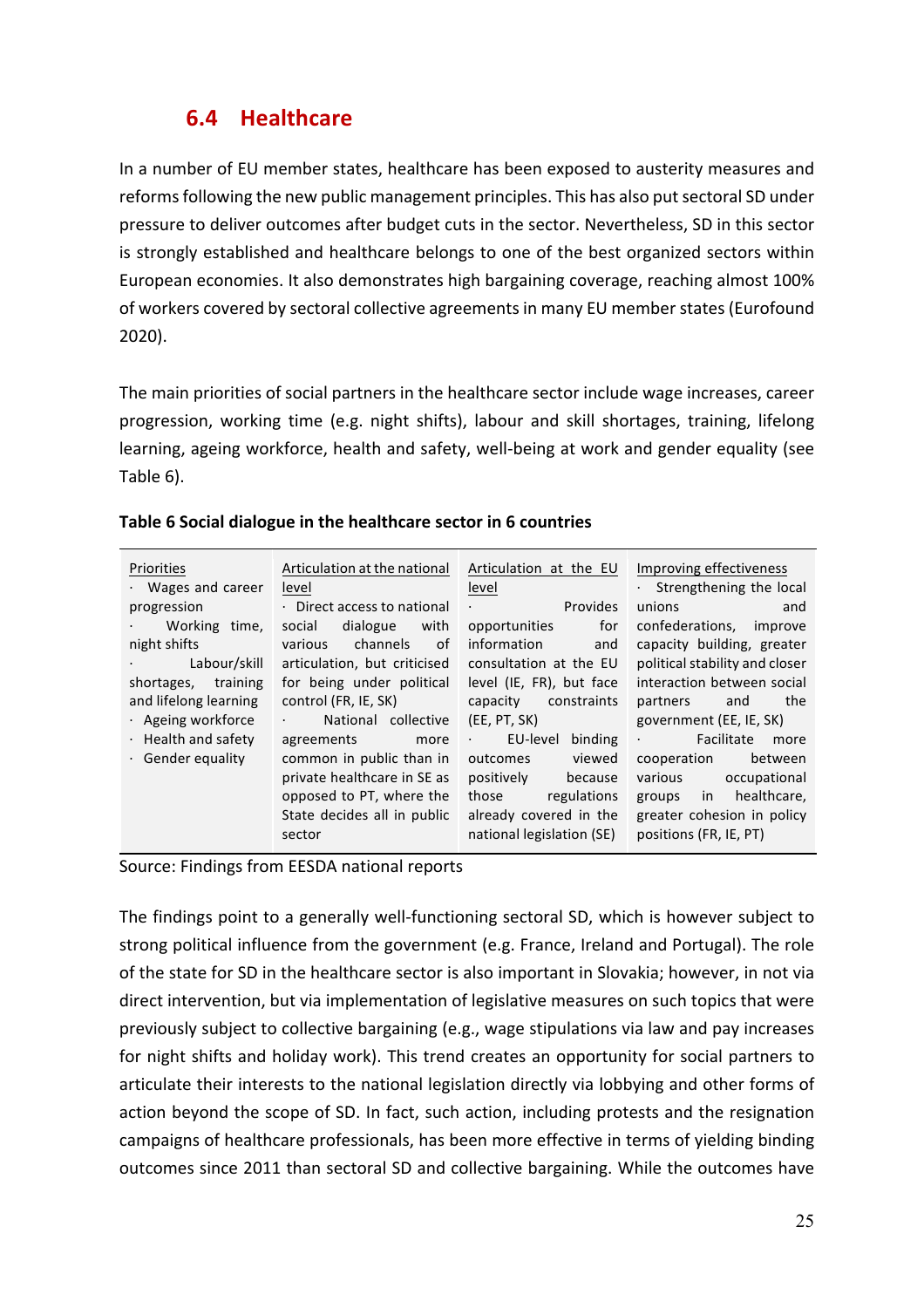### **6.4 Healthcare**

In a number of EU member states, healthcare has been exposed to austerity measures and reforms following the new public management principles. This has also put sectoral SD under pressure to deliver outcomes after budget cuts in the sector. Nevertheless, SD in this sector is strongly established and healthcare belongs to one of the best organized sectors within European economies. It also demonstrates high bargaining coverage, reaching almost 100% of workers covered by sectoral collective agreements in many EU member states (Eurofound 2020). 

The main priorities of social partners in the healthcare sector include wage increases, career progression, working time (e.g. night shifts), labour and skill shortages, training, lifelong learning, ageing workforce, health and safety, well-being at work and gender equality (see Table 6).

| Priorities                | Articulation at the national                       | Articulation at the EU        | Improving effectiveness         |
|---------------------------|----------------------------------------------------|-------------------------------|---------------------------------|
| $\cdot$ Wages and career  | level                                              | level                         | $\cdot$ Strengthening the local |
| progression               | Direct access to national                          | Provides                      | unions<br>and                   |
| Working time,             | dialogue<br>with<br>social                         | for<br>opportunities          | confederations, improve         |
| night shifts              | channels<br>various<br>of.                         | information<br>and            | capacity building, greater      |
| Labour/skill              | articulation, but criticised                       | consultation at the EU        | political stability and closer  |
| shortages, training       | for being under political                          | level (IE, FR), but face      | interaction between social      |
| and lifelong learning     | control (FR, IE, SK)                               | constraints<br>capacity       | the<br>partners<br>and          |
| · Ageing workforce        | National collective<br>$\mathbf{r} = \mathbf{r}$ . | (EE, PT, SK)                  | government (EE, IE, SK)         |
| $\cdot$ Health and safety | agreements<br>more                                 | EU-level<br>binding<br>$\sim$ | Facilitate<br>$\bullet$<br>more |
| $\cdot$ Gender equality   | common in public than in                           | viewed<br>outcomes            | cooperation<br>between          |
|                           | private healthcare in SE as                        | positively<br>because         | various<br>occupational         |
|                           | opposed to PT, where the                           | regulations<br>those          | in healthcare,<br>groups        |
|                           | State decides all in public                        | already covered in the        | greater cohesion in policy      |
|                           | sector                                             | national legislation (SE)     | positions (FR, IE, PT)          |
|                           |                                                    |                               |                                 |

#### **Table 6 Social dialogue in the healthcare sector in 6 countries**

Source: Findings from EESDA national reports

The findings point to a generally well-functioning sectoral SD, which is however subject to strong political influence from the government (e.g. France, Ireland and Portugal). The role of the state for SD in the healthcare sector is also important in Slovakia; however, in not via direct intervention, but via implementation of legislative measures on such topics that were previously subject to collective bargaining (e.g., wage stipulations via law and pay increases for night shifts and holiday work). This trend creates an opportunity for social partners to articulate their interests to the national legislation directly via lobbying and other forms of action beyond the scope of SD. In fact, such action, including protests and the resignation campaigns of healthcare professionals, has been more effective in terms of yielding binding outcomes since 2011 than sectoral SD and collective bargaining. While the outcomes have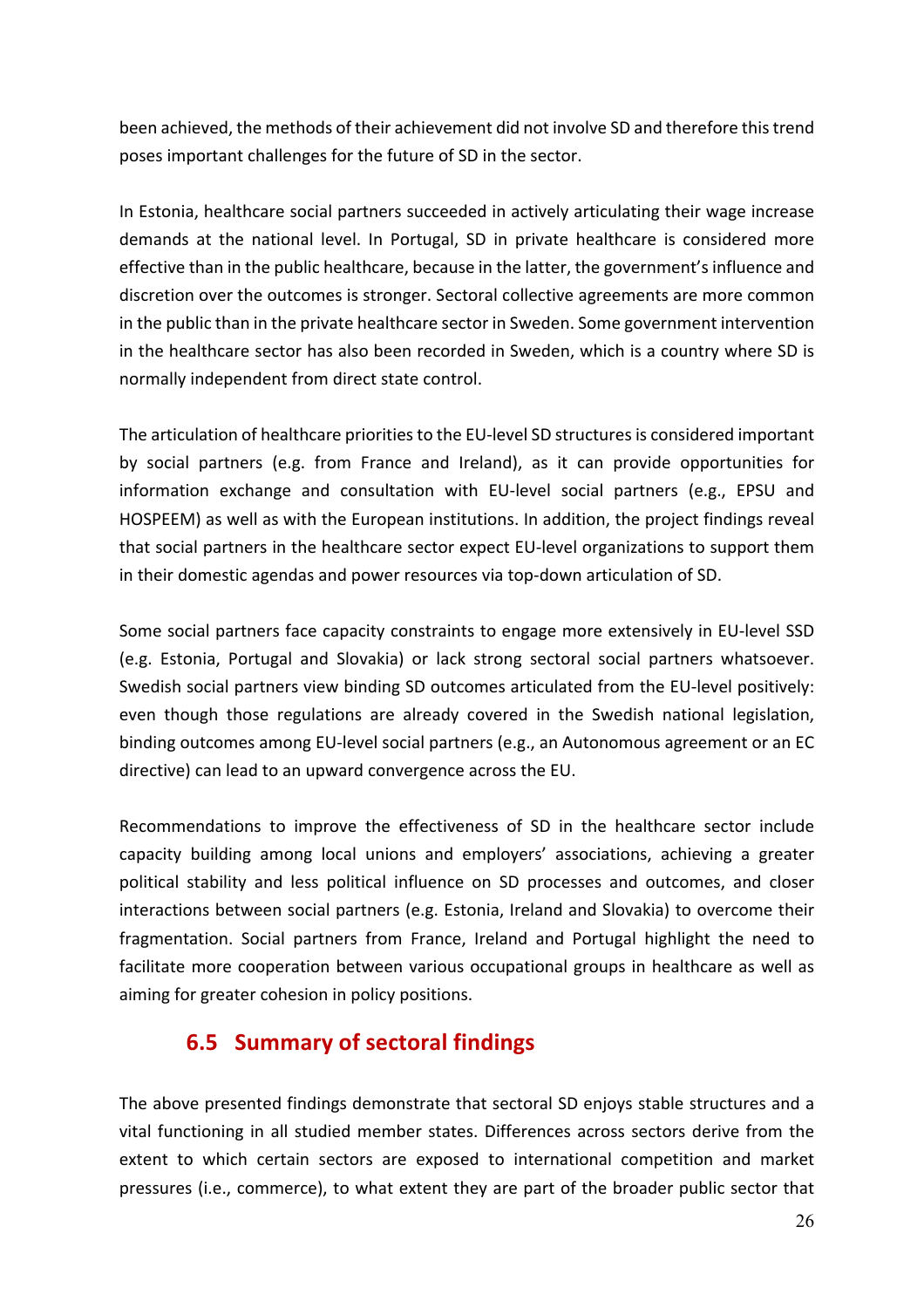been achieved, the methods of their achievement did not involve SD and therefore this trend poses important challenges for the future of SD in the sector.

In Estonia, healthcare social partners succeeded in actively articulating their wage increase demands at the national level. In Portugal, SD in private healthcare is considered more effective than in the public healthcare, because in the latter, the government's influence and discretion over the outcomes is stronger. Sectoral collective agreements are more common in the public than in the private healthcare sector in Sweden. Some government intervention in the healthcare sector has also been recorded in Sweden, which is a country where SD is normally independent from direct state control.

The articulation of healthcare priorities to the EU-level SD structures is considered important by social partners (e.g. from France and Ireland), as it can provide opportunities for information exchange and consultation with EU-level social partners (e.g., EPSU and HOSPEEM) as well as with the European institutions. In addition, the project findings reveal that social partners in the healthcare sector expect EU-level organizations to support them in their domestic agendas and power resources via top-down articulation of SD.

Some social partners face capacity constraints to engage more extensively in EU-level SSD (e.g. Estonia, Portugal and Slovakia) or lack strong sectoral social partners whatsoever. Swedish social partners view binding SD outcomes articulated from the EU-level positively: even though those regulations are already covered in the Swedish national legislation, binding outcomes among EU-level social partners (e.g., an Autonomous agreement or an EC directive) can lead to an upward convergence across the EU.

Recommendations to improve the effectiveness of SD in the healthcare sector include capacity building among local unions and employers' associations, achieving a greater political stability and less political influence on SD processes and outcomes, and closer interactions between social partners (e.g. Estonia, Ireland and Slovakia) to overcome their fragmentation. Social partners from France, Ireland and Portugal highlight the need to facilitate more cooperation between various occupational groups in healthcare as well as aiming for greater cohesion in policy positions.

### **6.5 Summary of sectoral findings**

The above presented findings demonstrate that sectoral SD enjoys stable structures and a vital functioning in all studied member states. Differences across sectors derive from the extent to which certain sectors are exposed to international competition and market pressures (i.e., commerce), to what extent they are part of the broader public sector that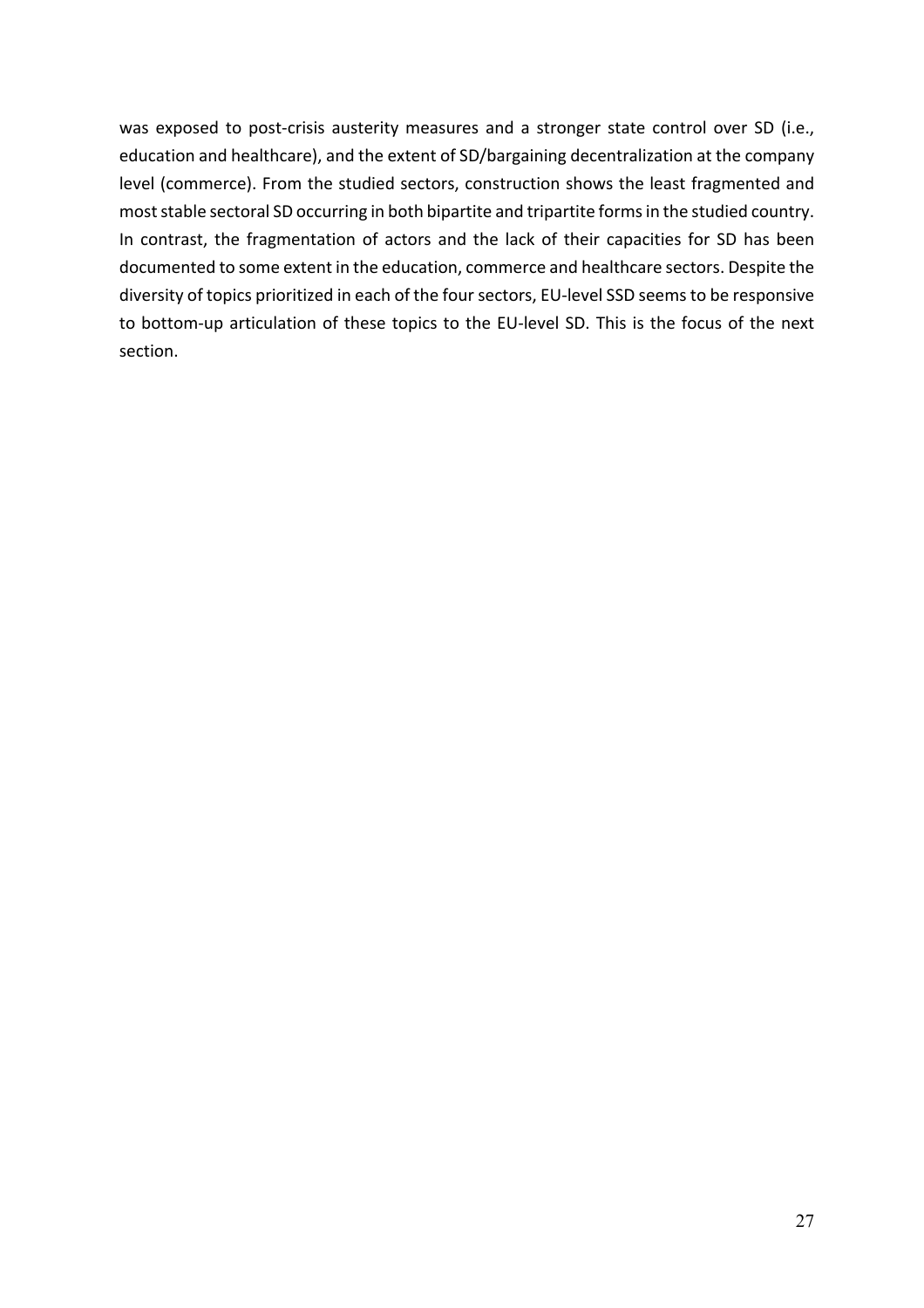was exposed to post-crisis austerity measures and a stronger state control over SD (i.e., education and healthcare), and the extent of SD/bargaining decentralization at the company level (commerce). From the studied sectors, construction shows the least fragmented and most stable sectoral SD occurring in both bipartite and tripartite forms in the studied country. In contrast, the fragmentation of actors and the lack of their capacities for SD has been documented to some extent in the education, commerce and healthcare sectors. Despite the diversity of topics prioritized in each of the four sectors, EU-level SSD seems to be responsive to bottom-up articulation of these topics to the EU-level SD. This is the focus of the next section.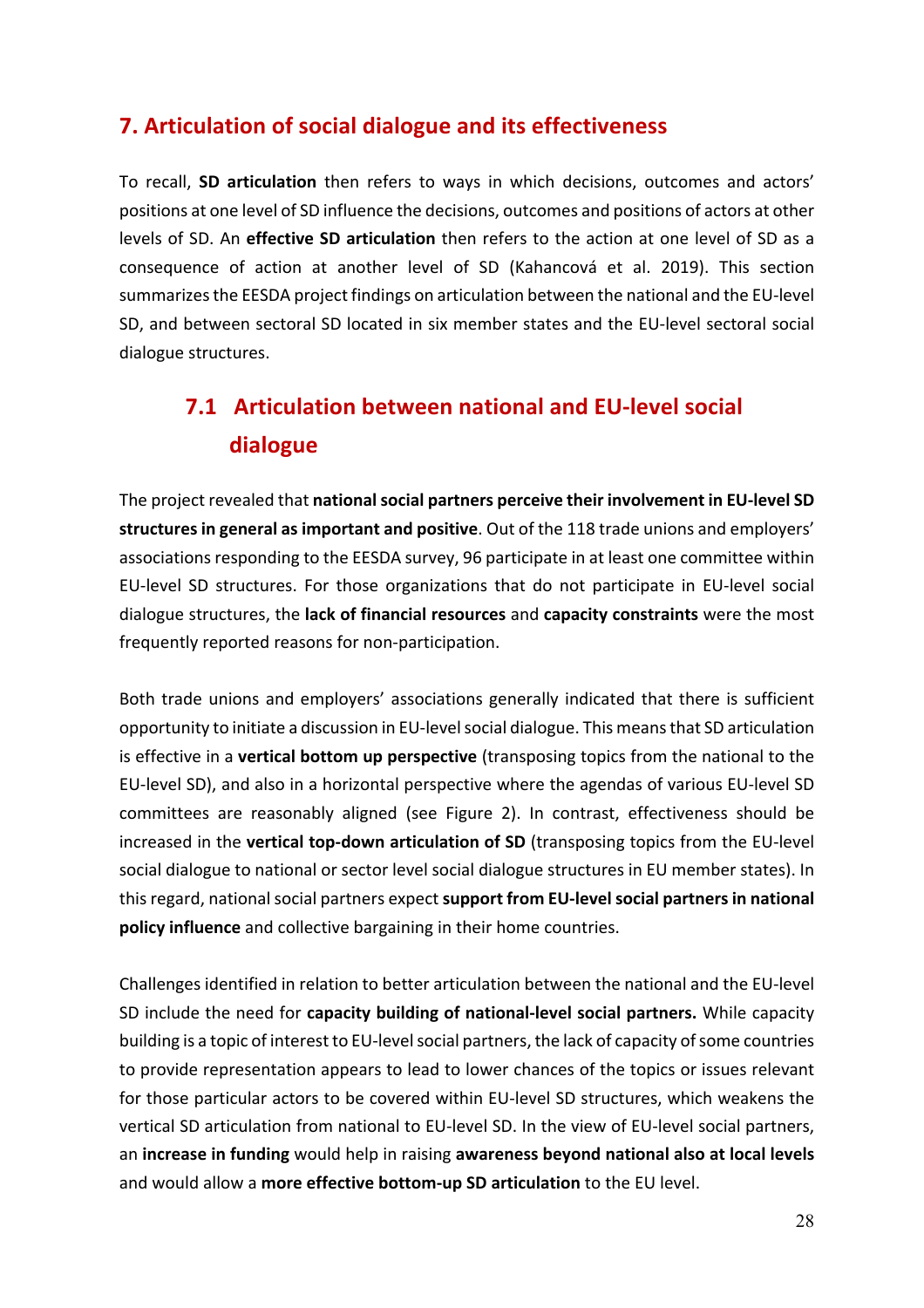### **7. Articulation of social dialogue and its effectiveness**

To recall, **SD articulation** then refers to ways in which decisions, outcomes and actors' positions at one level of SD influence the decisions, outcomes and positions of actors at other levels of SD. An **effective SD articulation** then refers to the action at one level of SD as a consequence of action at another level of SD (Kahancová et al. 2019). This section summarizes the EESDA project findings on articulation between the national and the EU-level SD, and between sectoral SD located in six member states and the EU-level sectoral social dialogue structures.

## **7.1 Articulation between national and EU-level social dialogue**

The project revealed that national social partners perceive their involvement in EU-level SD structures in general as important and positive. Out of the 118 trade unions and employers' associations responding to the EESDA survey, 96 participate in at least one committee within EU-level SD structures. For those organizations that do not participate in EU-level social dialogue structures, the **lack of financial resources** and **capacity constraints** were the most frequently reported reasons for non-participation.

Both trade unions and employers' associations generally indicated that there is sufficient opportunity to initiate a discussion in EU-level social dialogue. This means that SD articulation is effective in a **vertical bottom up perspective** (transposing topics from the national to the EU-level SD), and also in a horizontal perspective where the agendas of various EU-level SD committees are reasonably aligned (see Figure 2). In contrast, effectiveness should be increased in the **vertical top-down articulation of SD** (transposing topics from the EU-level social dialogue to national or sector level social dialogue structures in EU member states). In this regard, national social partners expect support from EU-level social partners in national **policy influence** and collective bargaining in their home countries.

Challenges identified in relation to better articulation between the national and the EU-level SD include the need for capacity building of national-level social partners. While capacity building is a topic of interest to EU-level social partners, the lack of capacity of some countries to provide representation appears to lead to lower chances of the topics or issues relevant for those particular actors to be covered within EU-level SD structures, which weakens the vertical SD articulation from national to EU-level SD. In the view of EU-level social partners, an **increase in funding** would help in raising **awareness beyond national also at local levels** and would allow a more effective bottom-up SD articulation to the EU level.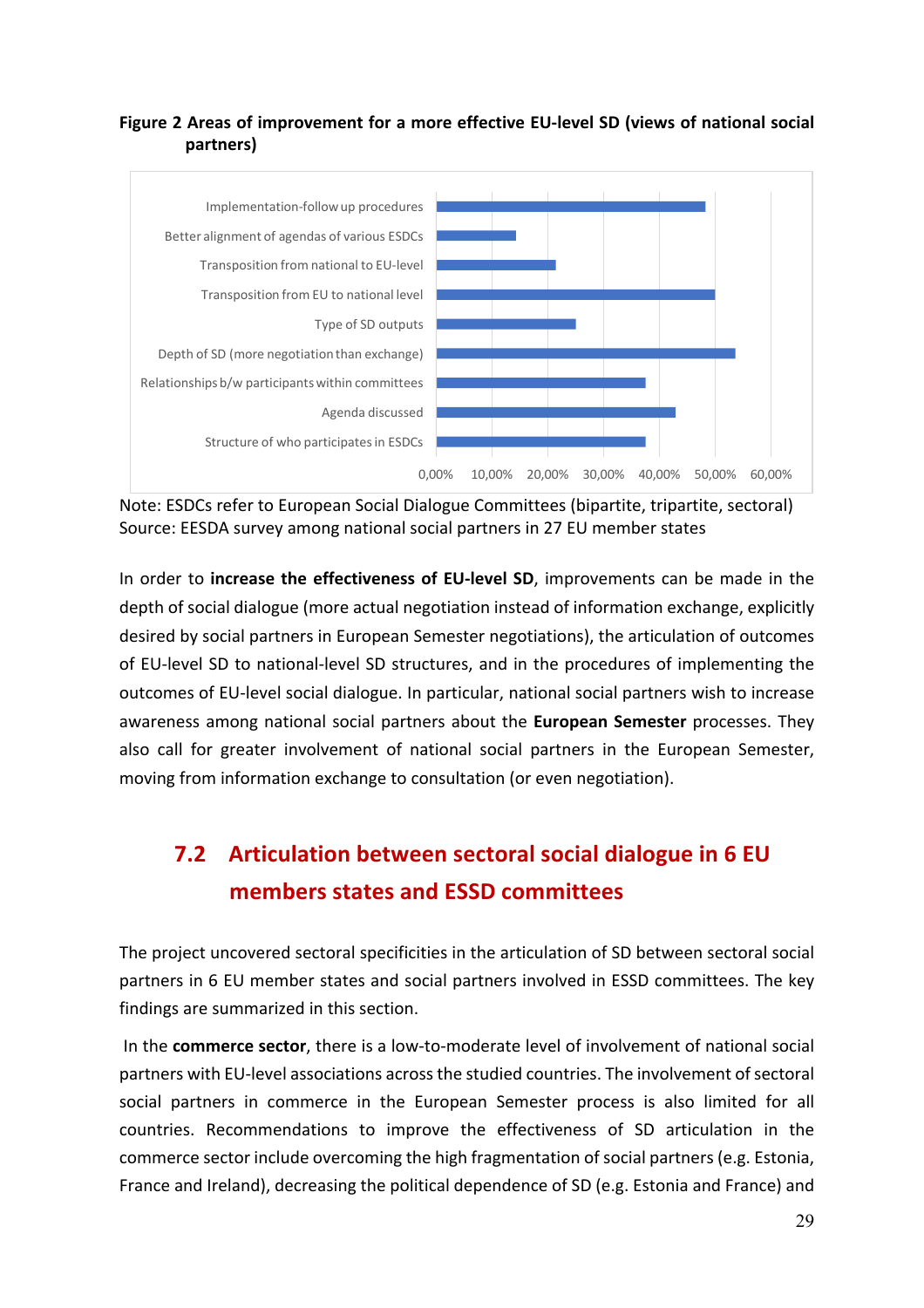#### **Figure 2 Areas of improvement for a more effective EU-level SD (views of national social partners)**



Note: ESDCs refer to European Social Dialogue Committees (bipartite, tripartite, sectoral) Source: EESDA survey among national social partners in 27 EU member states

In order to **increase the effectiveness of EU-level SD**, improvements can be made in the depth of social dialogue (more actual negotiation instead of information exchange, explicitly desired by social partners in European Semester negotiations), the articulation of outcomes of EU-level SD to national-level SD structures, and in the procedures of implementing the outcomes of EU-level social dialogue. In particular, national social partners wish to increase awareness among national social partners about the **European Semester** processes. They also call for greater involvement of national social partners in the European Semester, moving from information exchange to consultation (or even negotiation).

## **7.2** Articulation between sectoral social dialogue in 6 EU **members states and ESSD committees**

The project uncovered sectoral specificities in the articulation of SD between sectoral social partners in 6 EU member states and social partners involved in ESSD committees. The key findings are summarized in this section.

In the **commerce sector**, there is a low-to-moderate level of involvement of national social partners with EU-level associations across the studied countries. The involvement of sectoral social partners in commerce in the European Semester process is also limited for all countries. Recommendations to improve the effectiveness of SD articulation in the commerce sector include overcoming the high fragmentation of social partners (e.g. Estonia, France and Ireland), decreasing the political dependence of SD (e.g. Estonia and France) and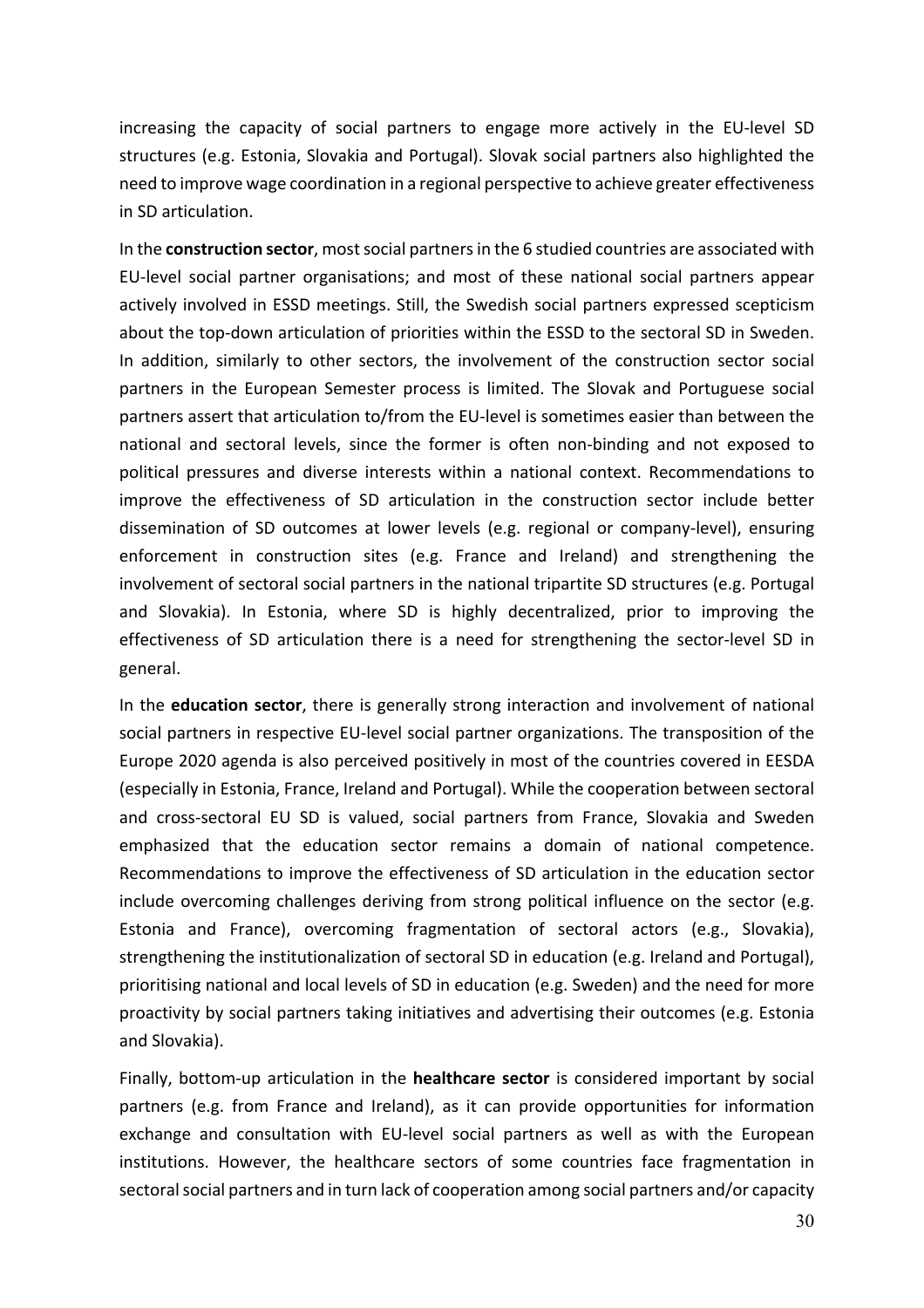increasing the capacity of social partners to engage more actively in the EU-level SD structures (e.g. Estonia, Slovakia and Portugal). Slovak social partners also highlighted the need to improve wage coordination in a regional perspective to achieve greater effectiveness in SD articulation.

In the **construction sector**, most social partners in the 6 studied countries are associated with EU-level social partner organisations; and most of these national social partners appear actively involved in ESSD meetings. Still, the Swedish social partners expressed scepticism about the top-down articulation of priorities within the ESSD to the sectoral SD in Sweden. In addition, similarly to other sectors, the involvement of the construction sector social partners in the European Semester process is limited. The Slovak and Portuguese social partners assert that articulation to/from the EU-level is sometimes easier than between the national and sectoral levels, since the former is often non-binding and not exposed to political pressures and diverse interests within a national context. Recommendations to improve the effectiveness of SD articulation in the construction sector include better dissemination of SD outcomes at lower levels (e.g. regional or company-level), ensuring enforcement in construction sites (e.g. France and Ireland) and strengthening the involvement of sectoral social partners in the national tripartite SD structures (e.g. Portugal and Slovakia). In Estonia, where SD is highly decentralized, prior to improving the effectiveness of SD articulation there is a need for strengthening the sector-level SD in general. 

In the **education sector**, there is generally strong interaction and involvement of national social partners in respective EU-level social partner organizations. The transposition of the Europe 2020 agenda is also perceived positively in most of the countries covered in EESDA (especially in Estonia, France, Ireland and Portugal). While the cooperation between sectoral and cross-sectoral EU SD is valued, social partners from France, Slovakia and Sweden emphasized that the education sector remains a domain of national competence. Recommendations to improve the effectiveness of SD articulation in the education sector include overcoming challenges deriving from strong political influence on the sector (e.g. Estonia and France), overcoming fragmentation of sectoral actors (e.g., Slovakia), strengthening the institutionalization of sectoral SD in education (e.g. Ireland and Portugal), prioritising national and local levels of SD in education (e.g. Sweden) and the need for more proactivity by social partners taking initiatives and advertising their outcomes (e.g. Estonia and Slovakia).

Finally, bottom-up articulation in the **healthcare sector** is considered important by social partners (e.g. from France and Ireland), as it can provide opportunities for information exchange and consultation with EU-level social partners as well as with the European institutions. However, the healthcare sectors of some countries face fragmentation in sectoral social partners and in turn lack of cooperation among social partners and/or capacity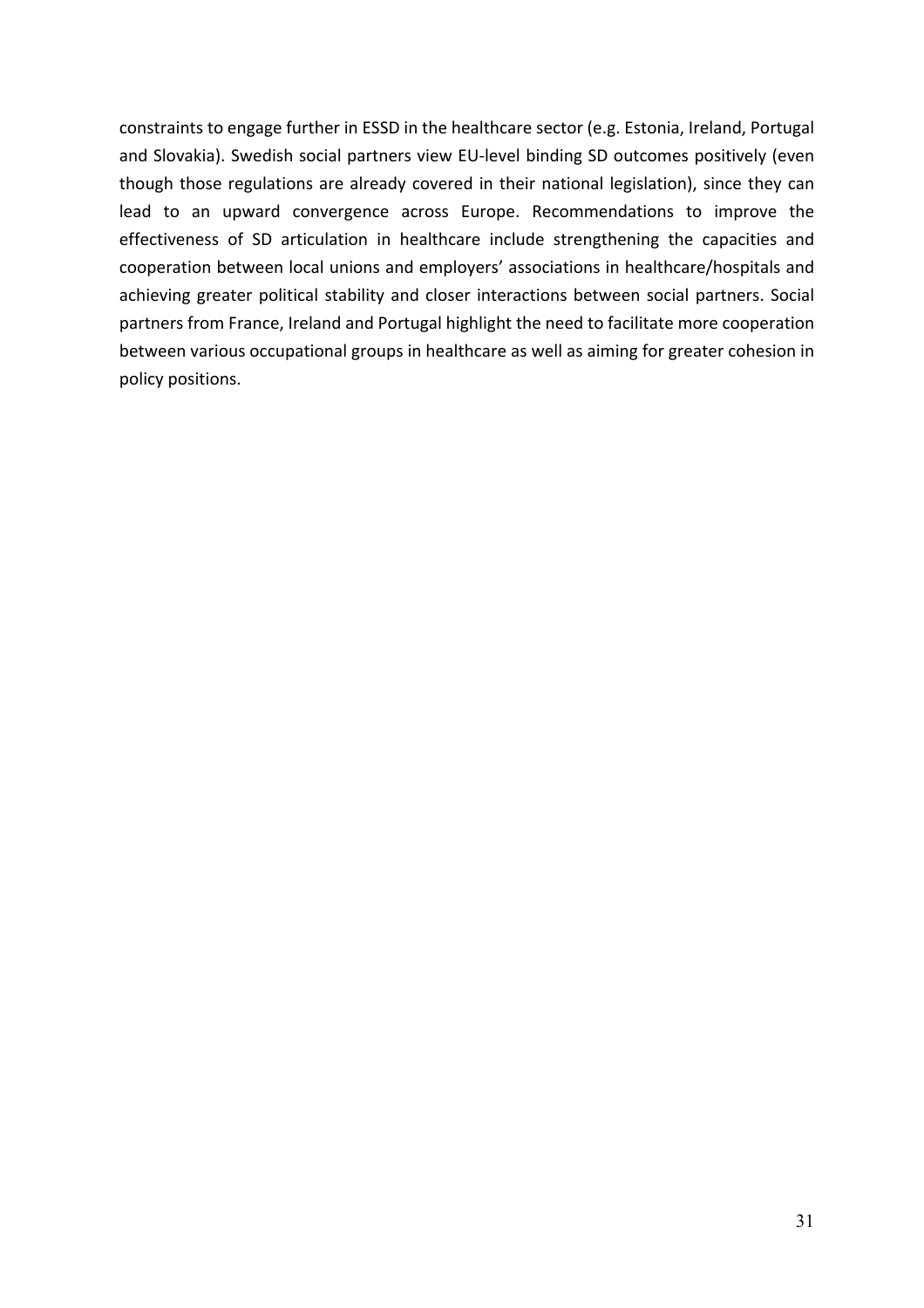constraints to engage further in ESSD in the healthcare sector (e.g. Estonia, Ireland, Portugal and Slovakia). Swedish social partners view EU-level binding SD outcomes positively (even though those regulations are already covered in their national legislation), since they can lead to an upward convergence across Europe. Recommendations to improve the effectiveness of SD articulation in healthcare include strengthening the capacities and cooperation between local unions and employers' associations in healthcare/hospitals and achieving greater political stability and closer interactions between social partners. Social partners from France, Ireland and Portugal highlight the need to facilitate more cooperation between various occupational groups in healthcare as well as aiming for greater cohesion in policy positions.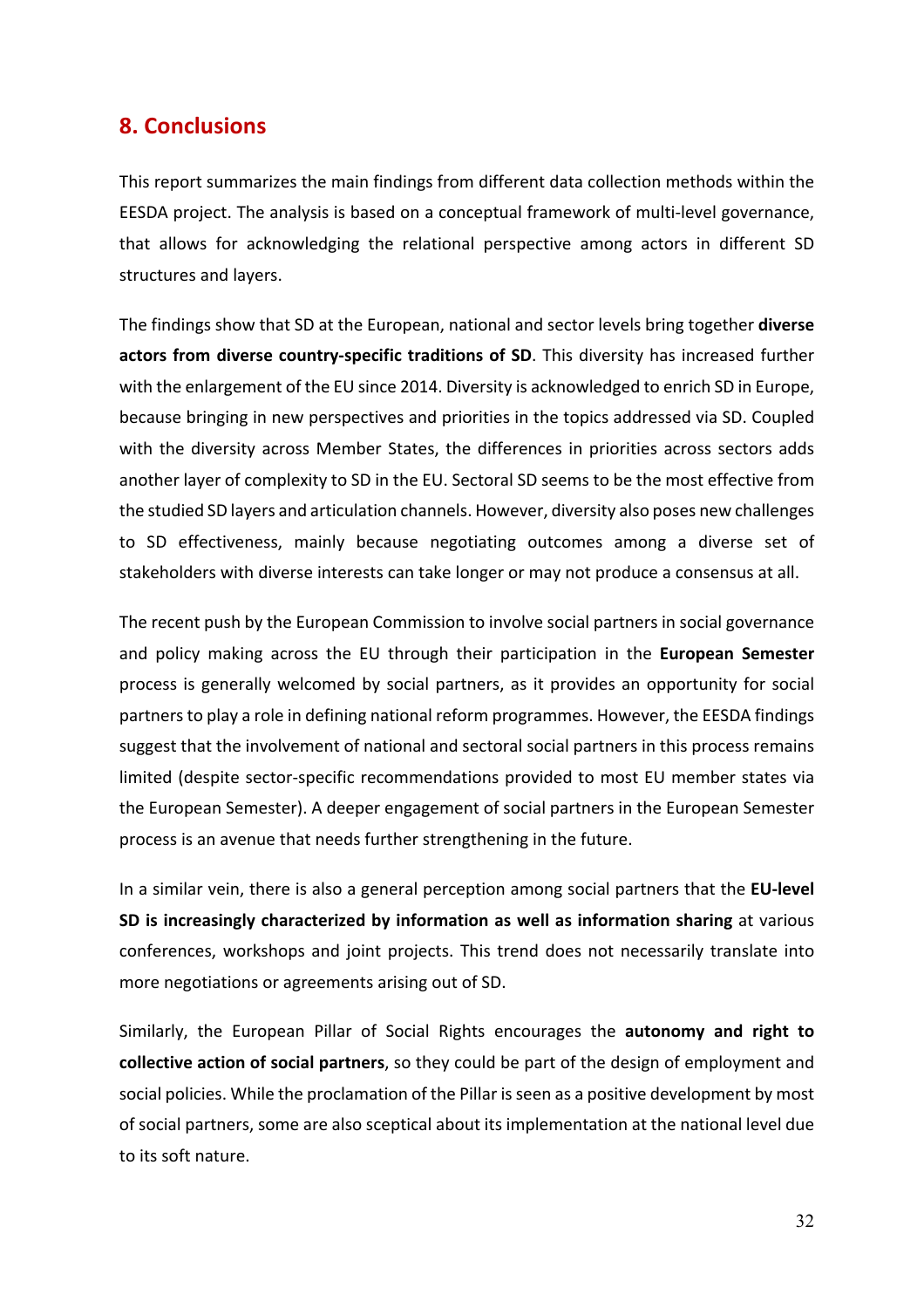#### **8. Conclusions**

This report summarizes the main findings from different data collection methods within the EESDA project. The analysis is based on a conceptual framework of multi-level governance, that allows for acknowledging the relational perspective among actors in different SD structures and layers.

The findings show that SD at the European, national and sector levels bring together **diverse** actors from diverse country-specific traditions of SD. This diversity has increased further with the enlargement of the EU since 2014. Diversity is acknowledged to enrich SD in Europe, because bringing in new perspectives and priorities in the topics addressed via SD. Coupled with the diversity across Member States, the differences in priorities across sectors adds another layer of complexity to SD in the EU. Sectoral SD seems to be the most effective from the studied SD layers and articulation channels. However, diversity also poses new challenges to SD effectiveness, mainly because negotiating outcomes among a diverse set of stakeholders with diverse interests can take longer or may not produce a consensus at all.

The recent push by the European Commission to involve social partners in social governance and policy making across the EU through their participation in the **European Semester** process is generally welcomed by social partners, as it provides an opportunity for social partners to play a role in defining national reform programmes. However, the EESDA findings suggest that the involvement of national and sectoral social partners in this process remains limited (despite sector-specific recommendations provided to most EU member states via the European Semester). A deeper engagement of social partners in the European Semester process is an avenue that needs further strengthening in the future.

In a similar vein, there is also a general perception among social partners that the **EU-level SD** is increasingly characterized by information as well as information sharing at various conferences, workshops and joint projects. This trend does not necessarily translate into more negotiations or agreements arising out of SD.

Similarly, the European Pillar of Social Rights encourages the **autonomy and right to collective action of social partners**, so they could be part of the design of employment and social policies. While the proclamation of the Pillar is seen as a positive development by most of social partners, some are also sceptical about its implementation at the national level due to its soft nature.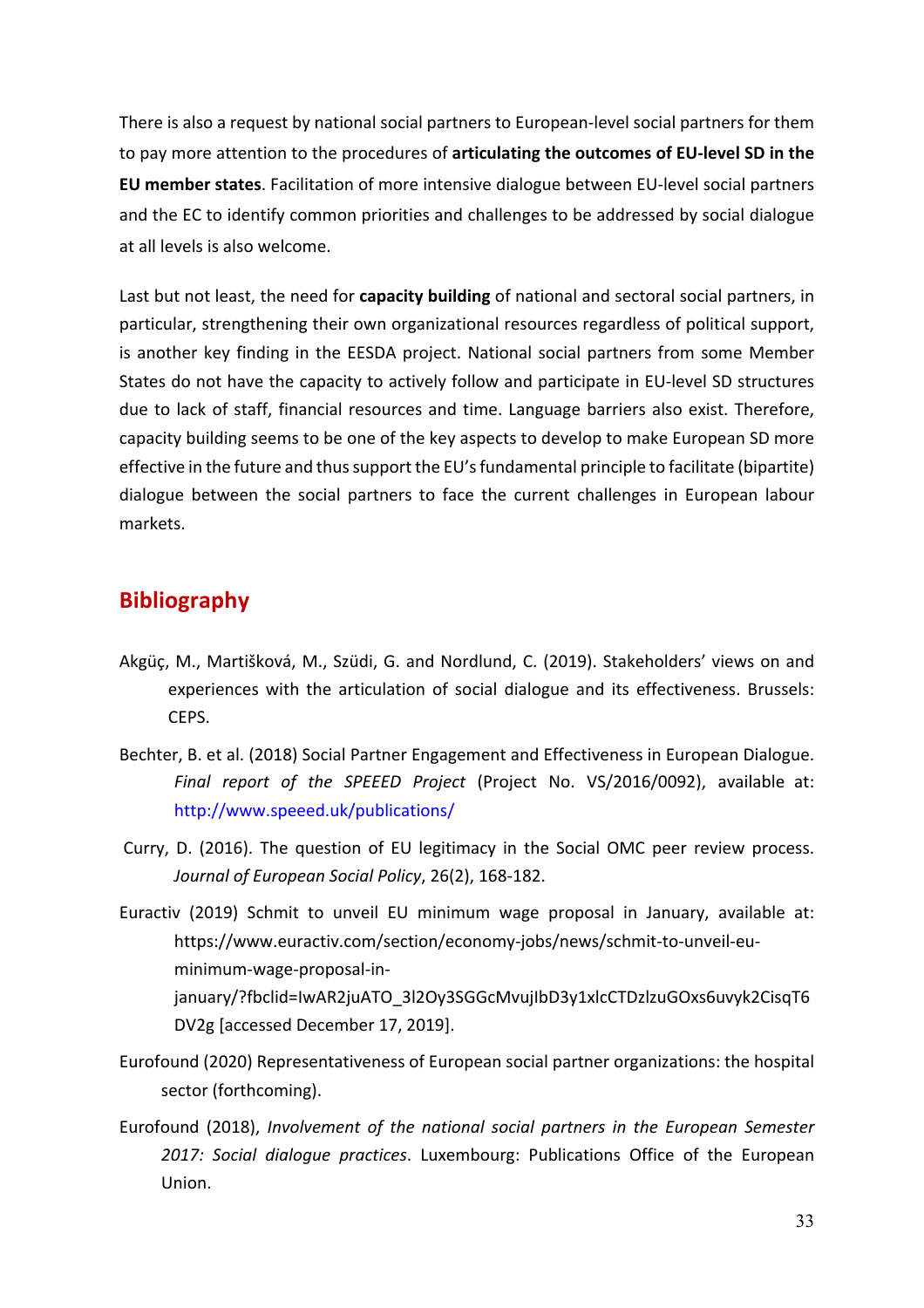There is also a request by national social partners to European-level social partners for them to pay more attention to the procedures of articulating the outcomes of EU-level SD in the **EU** member states. Facilitation of more intensive dialogue between EU-level social partners and the EC to identify common priorities and challenges to be addressed by social dialogue at all levels is also welcome.

Last but not least, the need for capacity building of national and sectoral social partners, in particular, strengthening their own organizational resources regardless of political support, is another key finding in the EESDA project. National social partners from some Member States do not have the capacity to actively follow and participate in EU-level SD structures due to lack of staff, financial resources and time. Language barriers also exist. Therefore, capacity building seems to be one of the key aspects to develop to make European SD more effective in the future and thus support the EU's fundamental principle to facilitate (bipartite) dialogue between the social partners to face the current challenges in European labour markets.

### **Bibliography**

- Akgüç, M., Martišková, M., Szüdi, G. and Nordlund, C. (2019). Stakeholders' views on and experiences with the articulation of social dialogue and its effectiveness. Brussels: CEPS.
- Bechter, B. et al. (2018) Social Partner Engagement and Effectiveness in European Dialogue. *Final report of the SPEEED Project* (Project No. VS/2016/0092), available at: http://www.speeed.uk/publications/
- Curry, D. (2016). The question of EU legitimacy in the Social OMC peer review process. *Journal of European Social Policy*, 26(2), 168-182.
- Euractiv (2019) Schmit to unveil EU minimum wage proposal in January, available at: https://www.euractiv.com/section/economy-jobs/news/schmit-to-unveil-euminimum-wage-proposal-injanuary/?fbclid=IwAR2juATO\_3l2Oy3SGGcMvujIbD3y1xlcCTDzlzuGOxs6uvyk2CisqT6 DV2g [accessed December 17, 2019].
- Eurofound (2020) Representativeness of European social partner organizations: the hospital sector (forthcoming).
- Eurofound (2018), *Involvement of the national social partners in the European Semester* 2017: Social dialogue practices. Luxembourg: Publications Office of the European Union.